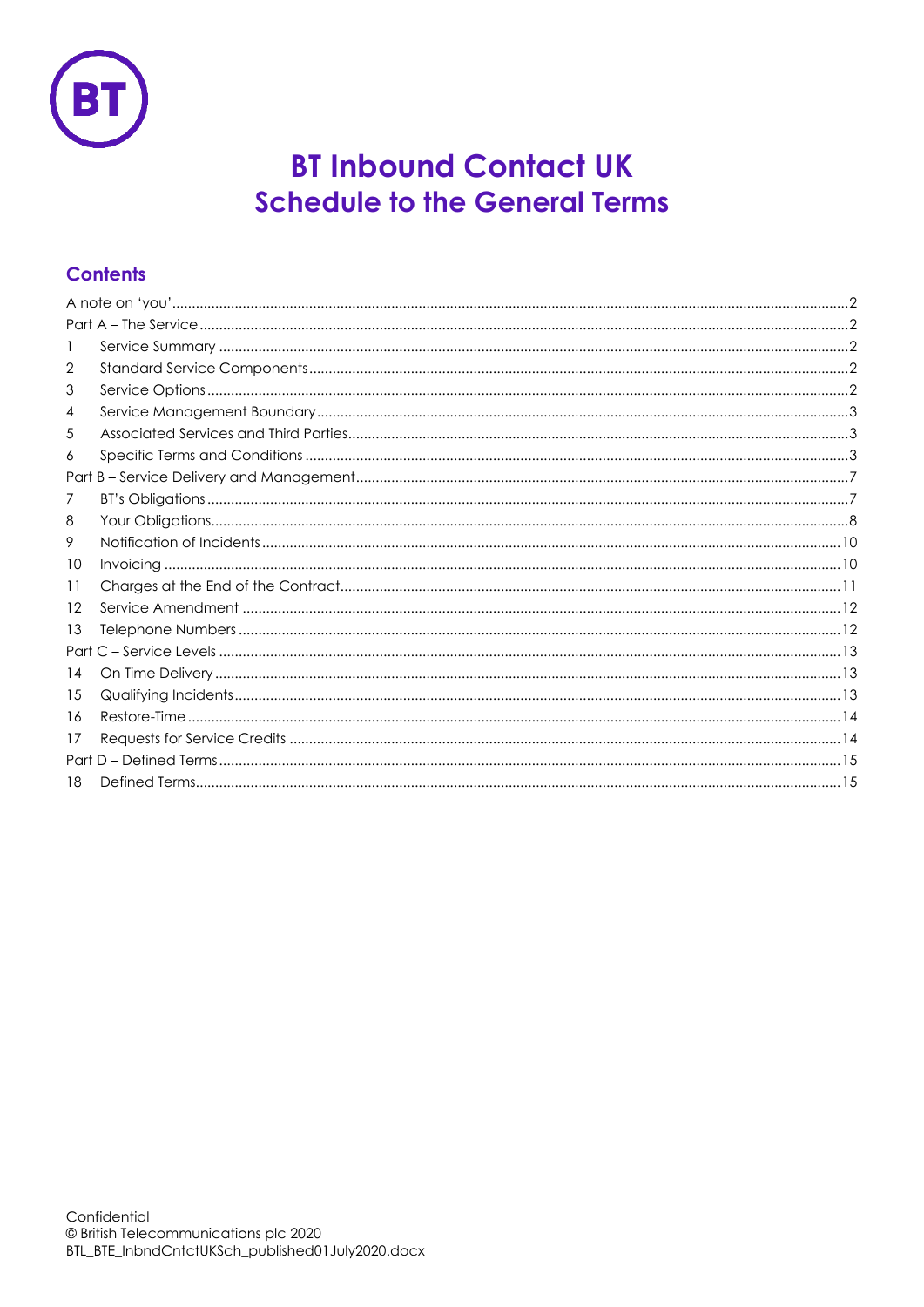

# **BT Inbound Contact UK Schedule to the General Terms**

# **Contents**

| 2  |  |  |
|----|--|--|
| 3  |  |  |
| 4  |  |  |
| 5  |  |  |
| 6  |  |  |
|    |  |  |
| 7  |  |  |
| 8  |  |  |
| 9  |  |  |
| 10 |  |  |
| 11 |  |  |
| 12 |  |  |
| 13 |  |  |
|    |  |  |
| 14 |  |  |
| 15 |  |  |
| 16 |  |  |
| 17 |  |  |
|    |  |  |
| 18 |  |  |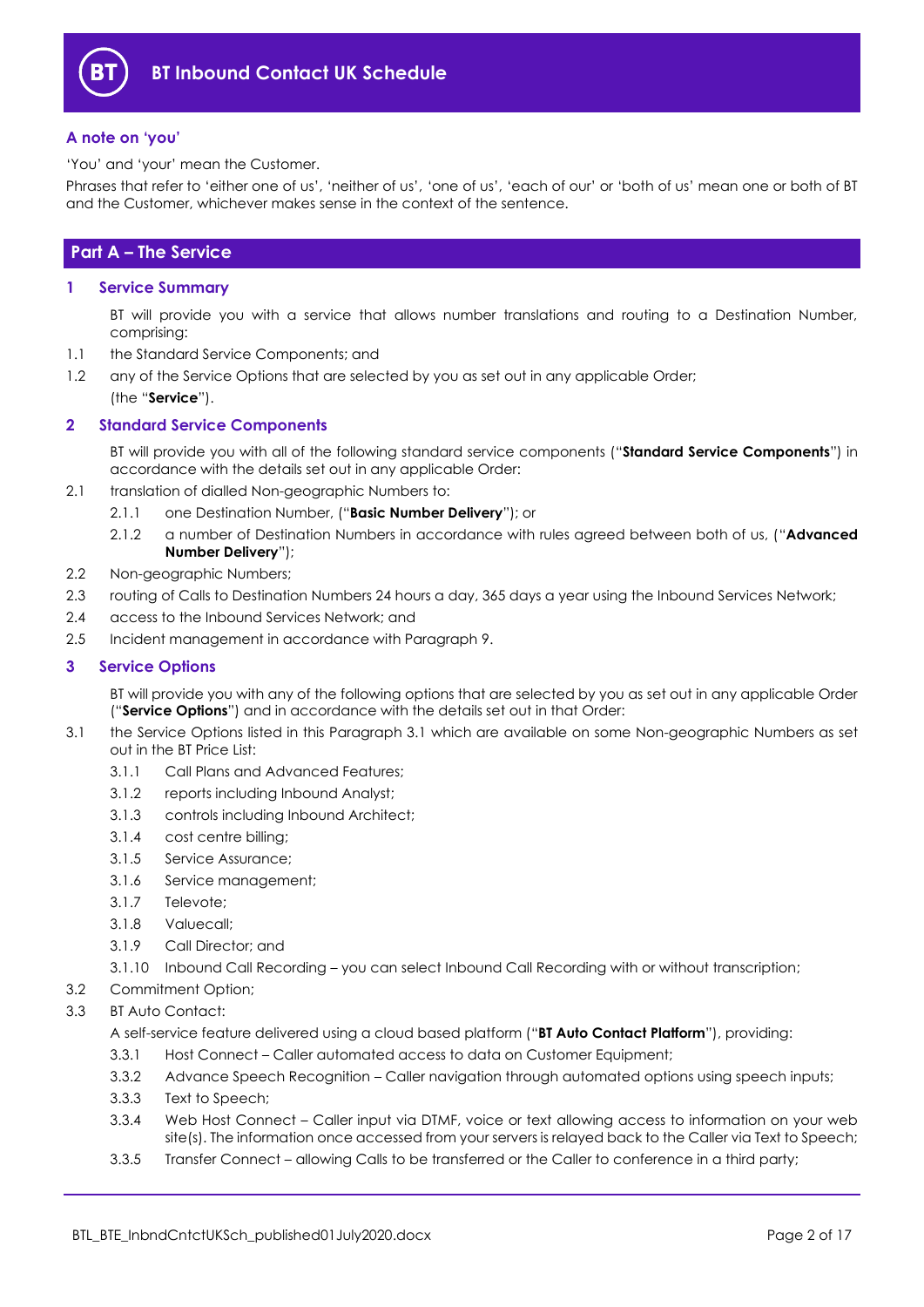

## <span id="page-1-0"></span>**A note on 'you'**

'You' and 'your' mean the Customer.

Phrases that refer to 'either one of us', 'neither of us', 'one of us', 'each of our' or 'both of us' mean one or both of BT and the Customer, whichever makes sense in the context of the sentence.

# <span id="page-1-1"></span>**Part A – The Service**

#### <span id="page-1-2"></span>**1 Service Summary**

BT will provide you with a service that allows number translations and routing to a Destination Number, comprising:

1.1 the Standard Service Components; and

1.2 any of the Service Options that are selected by you as set out in any applicable Order;

(the "**Service**").

### <span id="page-1-3"></span>**2 Standard Service Components**

BT will provide you with all of the following standard service components ("**Standard Service Components**") in accordance with the details set out in any applicable Order:

- <span id="page-1-7"></span>2.1 translation of dialled Non-geographic Numbers to:
	- 2.1.1 one Destination Number, ("**Basic Number Delivery**"); or
		- 2.1.2 a number of Destination Numbers in accordance with rules agreed between both of us, ("**Advanced Number Delivery**");
- <span id="page-1-6"></span>2.2 Non-geographic Numbers;
- 2.3 routing of Calls to Destination Numbers 24 hours a day, 365 days a year using the Inbound Services Network;
- 2.4 access to the Inbound Services Network; and
- 2.5 Incident management in accordance with Paragraph [9.](#page-9-0)

#### <span id="page-1-4"></span>**3 Service Options**

BT will provide you with any of the following options that are selected by you as set out in any applicable Order ("**Service Options**") and in accordance with the details set out in that Order:

- <span id="page-1-5"></span>3.1 the Service Options listed in this Paragraph [3.1](#page-1-5) which are available on some Non-geographic Numbers as set out in the BT Price List:
	- 3.1.1 Call Plans and Advanced Features;
	- 3.1.2 reports including Inbound Analyst;
	- 3.1.3 controls including Inbound Architect;
	- 3.1.4 cost centre billing;
	- 3.1.5 Service Assurance;
	- 3.1.6 Service management;
	- 3.1.7 Televote;
	- 3.1.8 Valuecall;
	- 3.1.9 Call Director; and
	- 3.1.10 Inbound Call Recording you can select Inbound Call Recording with or without transcription;
- 3.2 Commitment Option;
- <span id="page-1-8"></span>3.3 BT Auto Contact:

A self-service feature delivered using a cloud based platform ("**BT Auto Contact Platform**"), providing:

- 3.3.1 Host Connect Caller automated access to data on Customer Equipment;
- 3.3.2 Advance Speech Recognition Caller navigation through automated options using speech inputs;
- 3.3.3 Text to Speech;
- 3.3.4 Web Host Connect Caller input via DTMF, voice or text allowing access to information on your web site(s). The information once accessed from your servers is relayed back to the Caller via Text to Speech;
- 3.3.5 Transfer Connect allowing Calls to be transferred or the Caller to conference in a third party;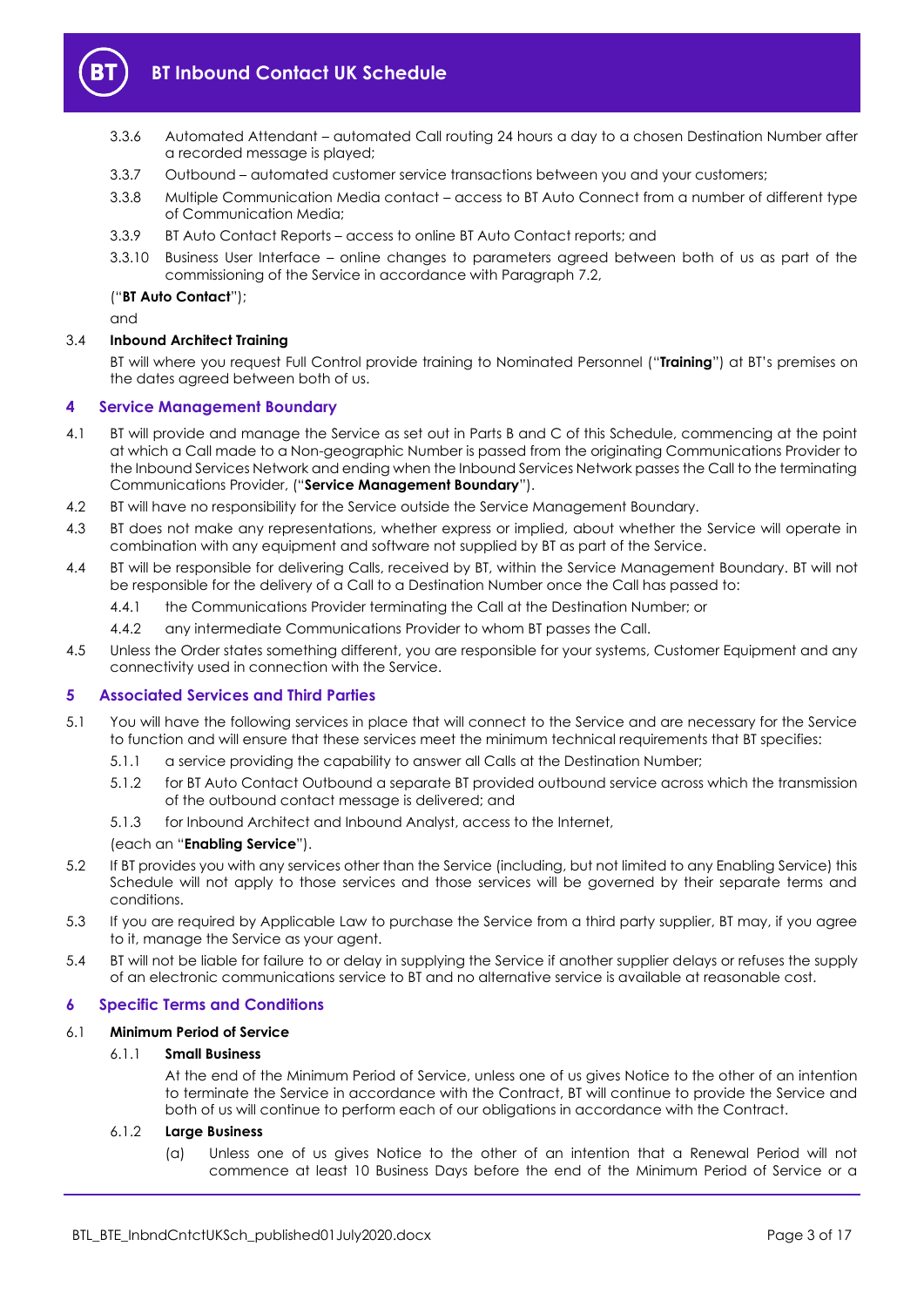

- 3.3.6 Automated Attendant automated Call routing 24 hours a day to a chosen Destination Number after a recorded message is played;
- 3.3.7 Outbound automated customer service transactions between you and your customers;
- 3.3.8 Multiple Communication Media contact access to BT Auto Connect from a number of different type of Communication Media;
- 3.3.9 BT Auto Contact Reports access to online BT Auto Contact reports; and
- 3.3.10 Business User Interface online changes to parameters agreed between both of us as part of the commissioning of the Service in accordance with Paragrap[h 7.2,](#page-6-2)

#### ("**BT Auto Contact**");

and

#### <span id="page-2-6"></span>3.4 **Inbound Architect Training**

BT will where you request Full Control provide training to Nominated Personnel ("**Training**") at BT's premises on the dates agreed between both of us.

#### <span id="page-2-0"></span>**4 Service Management Boundary**

- <span id="page-2-5"></span>4.1 BT will provide and manage the Service as set out in Parts B and C of this Schedule, commencing at the point at which a Call made to a Non-geographic Number is passed from the originating Communications Provider to the Inbound Services Network and ending when the Inbound Services Network passes the Call to the terminating Communications Provider, ("**Service Management Boundary**").
- 4.2 BT will have no responsibility for the Service outside the Service Management Boundary.
- 4.3 BT does not make any representations, whether express or implied, about whether the Service will operate in combination with any equipment and software not supplied by BT as part of the Service.
- 4.4 BT will be responsible for delivering Calls, received by BT, within the Service Management Boundary. BT will not be responsible for the delivery of a Call to a Destination Number once the Call has passed to:
	- 4.4.1 the Communications Provider terminating the Call at the Destination Number; or
	- 4.4.2 any intermediate Communications Provider to whom BT passes the Call.
- 4.5 Unless the Order states something different, you are responsible for your systems, Customer Equipment and any connectivity used in connection with the Service.

#### <span id="page-2-1"></span>**5 Associated Services and Third Parties**

- <span id="page-2-3"></span>5.1 You will have the following services in place that will connect to the Service and are necessary for the Service to function and will ensure that these services meet the minimum technical requirements that BT specifies:
	- 5.1.1 a service providing the capability to answer all Calls at the Destination Number;
	- 5.1.2 for BT Auto Contact Outbound a separate BT provided outbound service across which the transmission of the outbound contact message is delivered; and
	- 5.1.3 for Inbound Architect and Inbound Analyst, access to the Internet,

#### (each an "**Enabling Service**").

- 5.2 If BT provides you with any services other than the Service (including, but not limited to any Enabling Service) this Schedule will not apply to those services and those services will be governed by their separate terms and conditions.
- 5.3 If you are required by Applicable Law to purchase the Service from a third party supplier, BT may, if you agree to it, manage the Service as your agent.
- 5.4 BT will not be liable for failure to or delay in supplying the Service if another supplier delays or refuses the supply of an electronic communications service to BT and no alternative service is available at reasonable cost.

#### <span id="page-2-2"></span>**6 Specific Terms and Conditions**

#### 6.1 **Minimum Period of Service**

#### 6.1.1 **Small Business**

At the end of the Minimum Period of Service, unless one of us gives Notice to the other of an intention to terminate the Service in accordance with the Contract, BT will continue to provide the Service and both of us will continue to perform each of our obligations in accordance with the Contract.

#### <span id="page-2-4"></span>6.1.2 **Large Business**

(a) Unless one of us gives Notice to the other of an intention that a Renewal Period will not commence at least 10 Business Days before the end of the Minimum Period of Service or a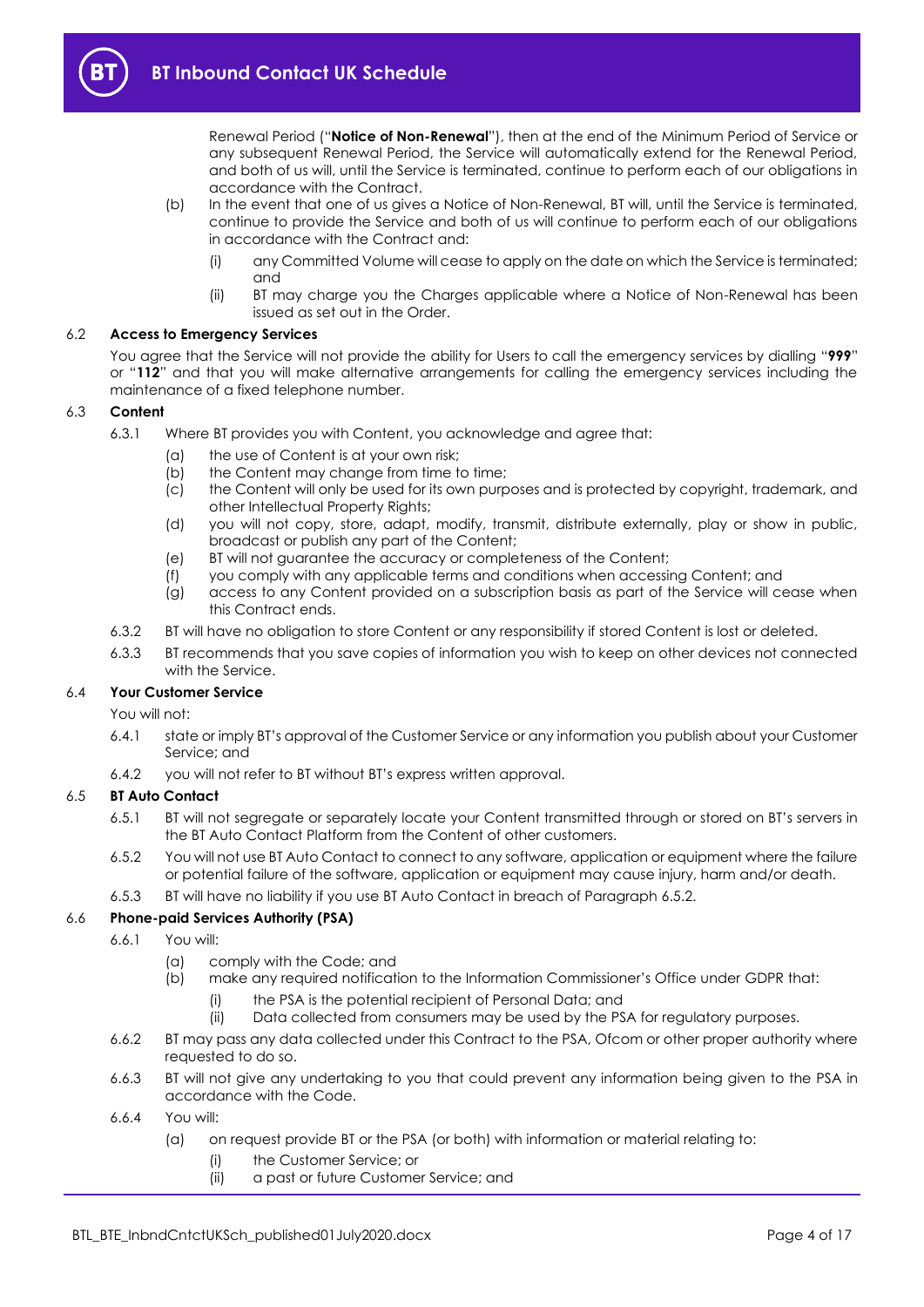

Renewal Period ("**Notice of Non-Renewal**"), then at the end of the Minimum Period of Service or any subsequent Renewal Period, the Service will automatically extend for the Renewal Period, and both of us will, until the Service is terminated, continue to perform each of our obligations in accordance with the Contract.

- (b) In the event that one of us gives a Notice of Non-Renewal, BT will, until the Service is terminated, continue to provide the Service and both of us will continue to perform each of our obligations in accordance with the Contract and:
	- (i) any Committed Volume will cease to apply on the date on which the Service is terminated; and
	- (ii) BT may charge you the Charges applicable where a Notice of Non-Renewal has been issued as set out in the Order.

### 6.2 **Access to Emergency Services**

You agree that the Service will not provide the ability for Users to call the emergency services by dialling "**999**" or "**112**" and that you will make alternative arrangements for calling the emergency services including the maintenance of a fixed telephone number.

### 6.3 **Content**

- 6.3.1 Where BT provides you with Content, you acknowledge and agree that:
	- (a) the use of Content is at your own risk;
	- (b) the Content may change from time to time;
	- (c) the Content will only be used for its own purposes and is protected by copyright, trademark, and other Intellectual Property Rights;
	- (d) you will not copy, store, adapt, modify, transmit, distribute externally, play or show in public, broadcast or publish any part of the Content;
	- (e) BT will not guarantee the accuracy or completeness of the Content;
	- (f) you comply with any applicable terms and conditions when accessing Content; and
	- (g) access to any Content provided on a subscription basis as part of the Service will cease when this Contract ends.
- 6.3.2 BT will have no obligation to store Content or any responsibility if stored Content is lost or deleted.
- 6.3.3 BT recommends that you save copies of information you wish to keep on other devices not connected with the Service.

#### 6.4 **Your Customer Service**

You will not:

- 6.4.1 state or imply BT's approval of the Customer Service or any information you publish about your Customer Service; and
- 6.4.2 you will not refer to BT without BT's express written approval.

#### 6.5 **BT Auto Contact**

- 6.5.1 BT will not segregate or separately locate your Content transmitted through or stored on BT's servers in the BT Auto Contact Platform from the Content of other customers.
- <span id="page-3-0"></span>6.5.2 You will not use BT Auto Contact to connect to any software, application or equipment where the failure or potential failure of the software, application or equipment may cause injury, harm and/or death.
- 6.5.3 BT will have no liability if you use BT Auto Contact in breach of Paragraph [6.5.2.](#page-3-0)

# 6.6 **Phone-paid Services Authority (PSA)**

- 6.6.1 You will:
	- (a) comply with the Code; and
	- (b) make any required notification to the Information Commissioner's Office under GDPR that:
		- (i) the PSA is the potential recipient of Personal Data; and
		- (ii) Data collected from consumers may be used by the PSA for regulatory purposes.
- 6.6.2 BT may pass any data collected under this Contract to the PSA, Ofcom or other proper authority where requested to do so.
- 6.6.3 BT will not give any undertaking to you that could prevent any information being given to the PSA in accordance with the Code.
- <span id="page-3-1"></span>6.6.4 You will:
	- (a) on request provide BT or the PSA (or both) with information or material relating to:
		- (i) the Customer Service; or
		- (ii) a past or future Customer Service; and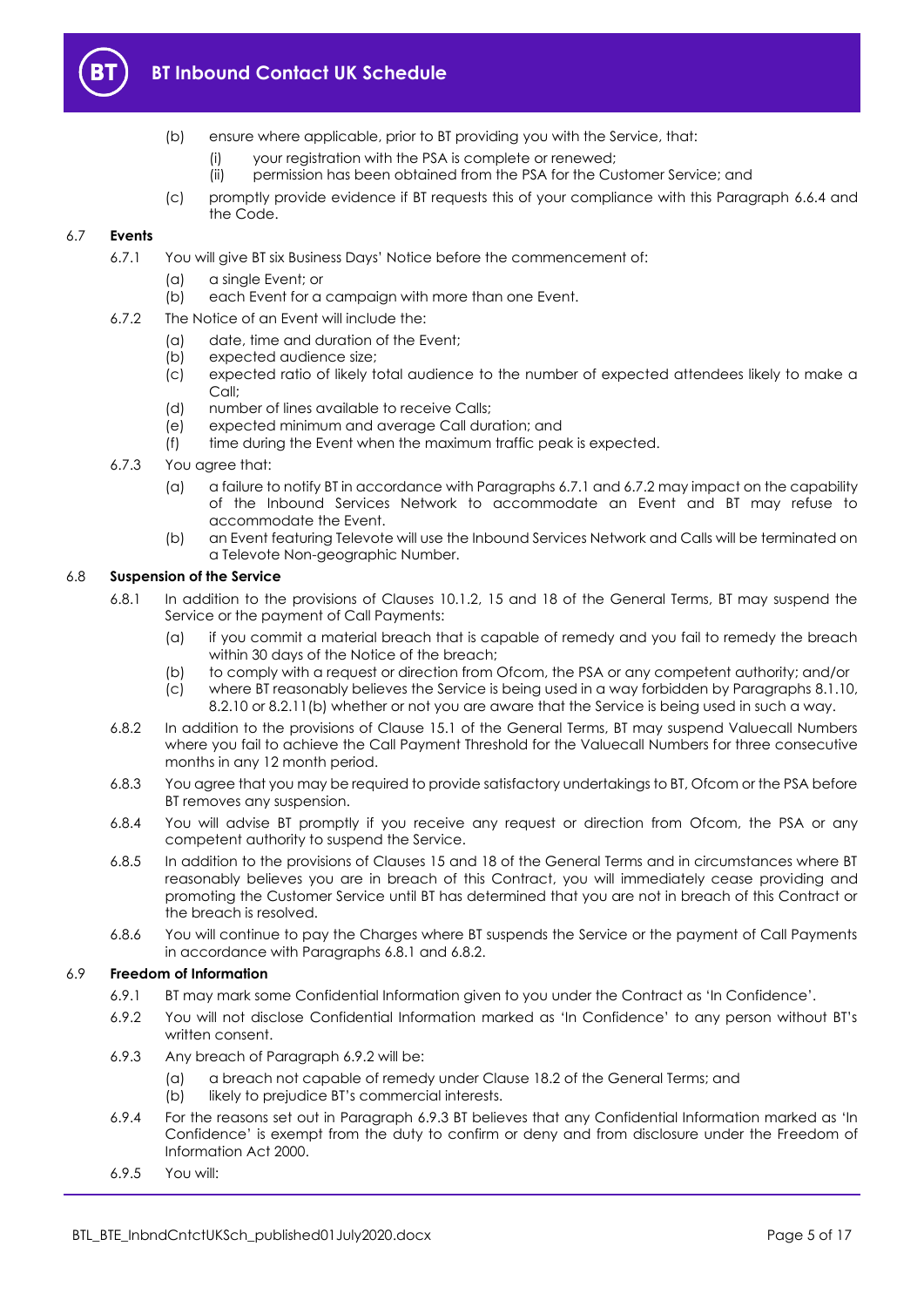

- (b) ensure where applicable, prior to BT providing you with the Service, that:
	- (i) your registration with the PSA is complete or renewed;
	- (ii) permission has been obtained from the PSA for the Customer Service; and
- (c) promptly provide evidence if BT requests this of your compliance with this Paragraph [6.6.4](#page-3-1) and the Code.

# <span id="page-4-0"></span>6.7 **Events**

- 6.7.1 You will give BT six Business Days' Notice before the commencement of:
	- (a) a single Event; or
	- (b) each Event for a campaign with more than one Event.
- <span id="page-4-1"></span>6.7.2 The Notice of an Event will include the:
	- (a) date, time and duration of the Event;
	- (b) expected audience size;
	- (c) expected ratio of likely total audience to the number of expected attendees likely to make a Call;
	- (d) number of lines available to receive Calls;
	- (e) expected minimum and average Call duration; and
	- (f) time during the Event when the maximum traffic peak is expected.
- 6.7.3 You agree that:
	- (a) a failure to notify BT in accordance with Paragraphs [6.7.1](#page-4-0) and [6.7.2](#page-4-1) may impact on the capability of the Inbound Services Network to accommodate an Event and BT may refuse to accommodate the Event.
	- (b) an Event featuring Televote will use the Inbound Services Network and Calls will be terminated on a Televote Non-geographic Number.

### <span id="page-4-6"></span><span id="page-4-2"></span>6.8 **Suspension of the Service**

- 6.8.1 In addition to the provisions of Clauses 10.1.2, 15 and 18 of the General Terms, BT may suspend the Service or the payment of Call Payments:
	- (a) if you commit a material breach that is capable of remedy and you fail to remedy the breach within 30 days of the Notice of the breach;
	- (b) to comply with a request or direction from Ofcom, the PSA or any competent authority; and/or
	- (c) where BT reasonably believes the Service is being used in a way forbidden by Paragraphs [8.1.10,](#page-7-1)  [8.2.10](#page-8-0) or [8.2.11\(b\)](#page-8-1) whether or not you are aware that the Service is being used in such a way.
- <span id="page-4-3"></span>6.8.2 In addition to the provisions of Clause 15.1 of the General Terms, BT may suspend Valuecall Numbers where you fail to achieve the Call Payment Threshold for the Valuecall Numbers for three consecutive months in any 12 month period.
- 6.8.3 You agree that you may be required to provide satisfactory undertakings to BT, Ofcom or the PSA before BT removes any suspension.
- 6.8.4 You will advise BT promptly if you receive any request or direction from Ofcom, the PSA or any competent authority to suspend the Service.
- 6.8.5 In addition to the provisions of Clauses 15 and 18 of the General Terms and in circumstances where BT reasonably believes you are in breach of this Contract, you will immediately cease providing and promoting the Customer Service until BT has determined that you are not in breach of this Contract or the breach is resolved.
- 6.8.6 You will continue to pay the Charges where BT suspends the Service or the payment of Call Payments in accordance with Paragraph[s 6.8.1](#page-4-2) an[d 6.8.2.](#page-4-3)

#### <span id="page-4-4"></span>6.9 **Freedom of Information**

- 6.9.1 BT may mark some Confidential Information given to you under the Contract as 'In Confidence'.
- 6.9.2 You will not disclose Confidential Information marked as 'In Confidence' to any person without BT's written consent.
- <span id="page-4-5"></span>6.9.3 Any breach of Paragraph [6.9.2](#page-4-4) will be:
	- (a) a breach not capable of remedy under Clause 18.2 of the General Terms; and
	- (b) likely to prejudice BT's commercial interests.
- 6.9.4 For the reasons set out in Paragraph [6.9.3](#page-4-5) BT believes that any Confidential Information marked as 'In Confidence' is exempt from the duty to confirm or deny and from disclosure under the Freedom of Information Act 2000.
- 6.9.5 You will: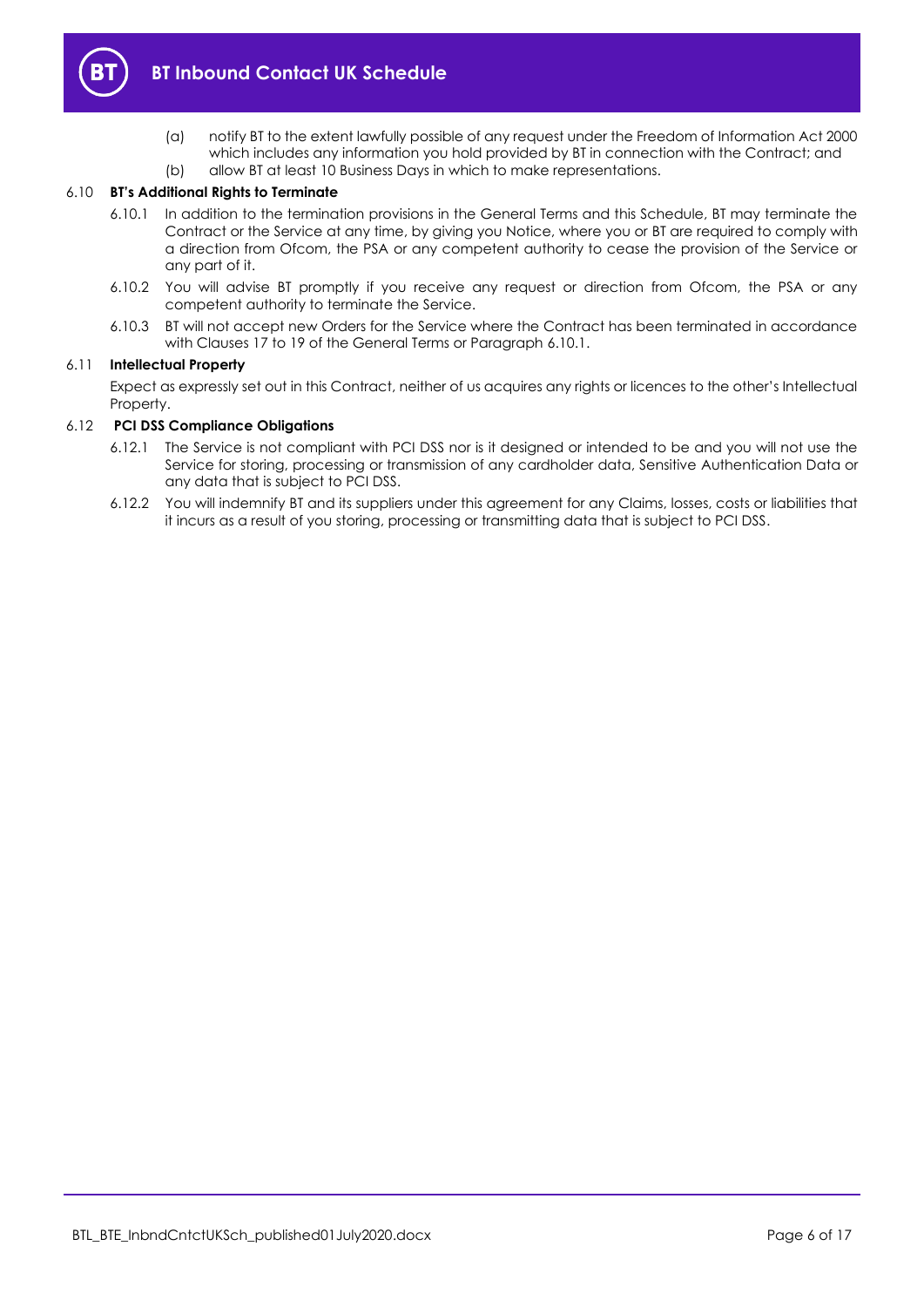

- (a) notify BT to the extent lawfully possible of any request under the Freedom of Information Act 2000 which includes any information you hold provided by BT in connection with the Contract; and (b) allow BT at least 10 Business Days in which to make representations.
- 

#### <span id="page-5-0"></span>6.10 **BT's Additional Rights to Terminate**

- 6.10.1 In addition to the termination provisions in the General Terms and this Schedule, BT may terminate the Contract or the Service at any time, by giving you Notice, where you or BT are required to comply with a direction from Ofcom, the PSA or any competent authority to cease the provision of the Service or any part of it.
- 6.10.2 You will advise BT promptly if you receive any request or direction from Ofcom, the PSA or any competent authority to terminate the Service.
- 6.10.3 BT will not accept new Orders for the Service where the Contract has been terminated in accordance with Clauses 17 to 19 of the General Terms or Paragrap[h 6.10.1.](#page-5-0)

#### 6.11 **Intellectual Property**

Expect as expressly set out in this Contract, neither of us acquires any rights or licences to the other's Intellectual Property.

#### 6.12 **PCI DSS Compliance Obligations**

- 6.12.1 The Service is not compliant with PCI DSS nor is it designed or intended to be and you will not use the Service for storing, processing or transmission of any cardholder data, Sensitive Authentication Data or any data that is subject to PCI DSS.
- 6.12.2 You will indemnify BT and its suppliers under this agreement for any Claims, losses, costs or liabilities that it incurs as a result of you storing, processing or transmitting data that is subject to PCI DSS.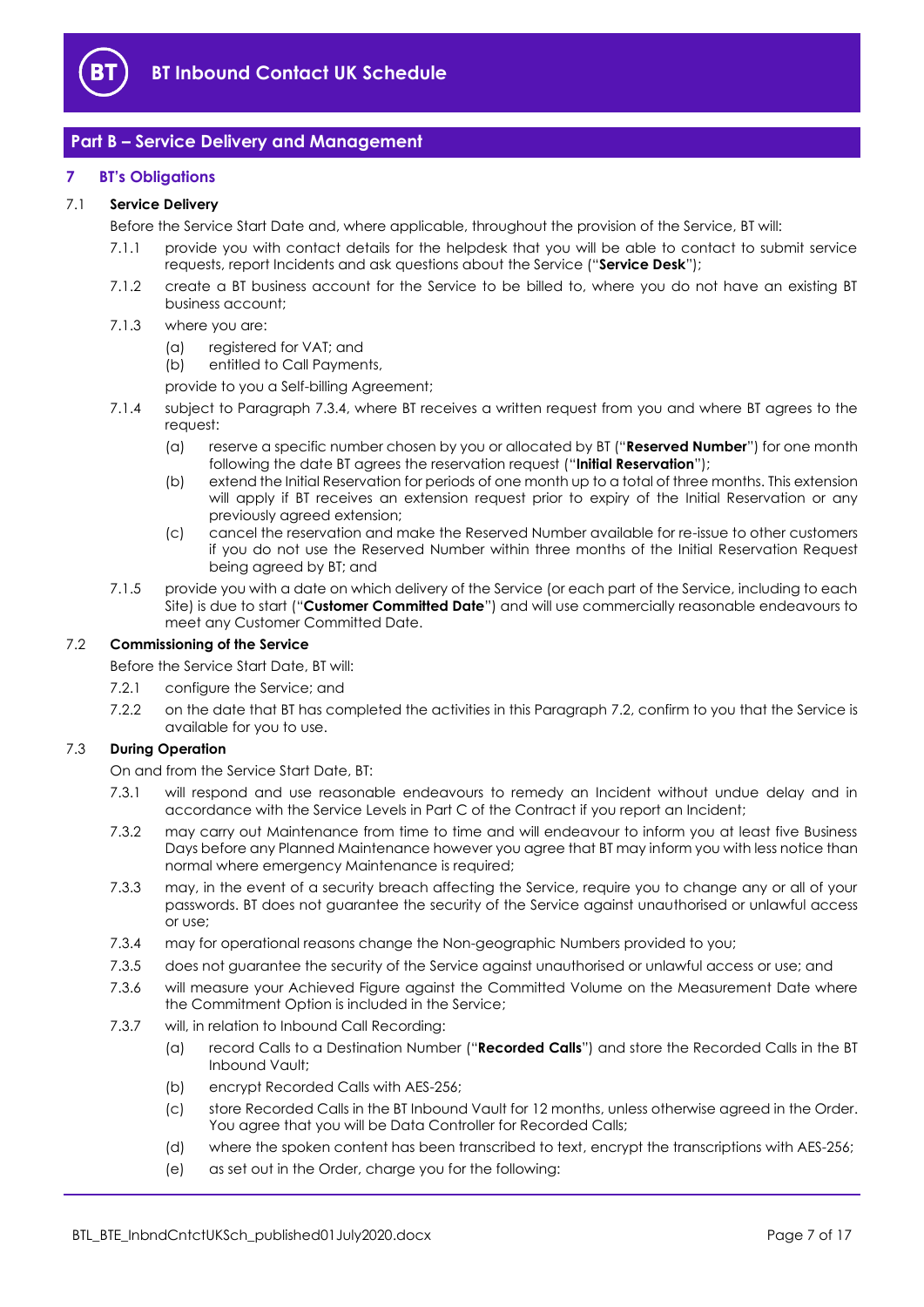

# <span id="page-6-0"></span>**Part B – Service Delivery and Management**

## <span id="page-6-1"></span>**7 BT's Obligations**

#### <span id="page-6-8"></span>7.1 **Service Delivery**

Before the Service Start Date and, where applicable, throughout the provision of the Service, BT will:

- 7.1.1 provide you with contact details for the helpdesk that you will be able to contact to submit service requests, report Incidents and ask questions about the Service ("**Service Desk**");
- 7.1.2 create a BT business account for the Service to be billed to, where you do not have an existing BT business account;
- 7.1.3 where you are:
	- (a) registered for VAT; and
	- (b) entitled to Call Payments,
	- provide to you a Self-billing Agreement;
- <span id="page-6-7"></span><span id="page-6-5"></span>7.1.4 subject to Paragraph [7.3.4,](#page-6-3) where BT receives a written request from you and where BT agrees to the request:
	- (a) reserve a specific number chosen by you or allocated by BT ("**Reserved Number**") for one month following the date BT agrees the reservation request ("**Initial Reservation**");
	- (b) extend the Initial Reservation for periods of one month up to a total of three months. This extension will apply if BT receives an extension request prior to expiry of the Initial Reservation or any previously agreed extension;
	- (c) cancel the reservation and make the Reserved Number available for re-issue to other customers if you do not use the Reserved Number within three months of the Initial Reservation Request being agreed by BT; and
- <span id="page-6-4"></span>7.1.5 provide you with a date on which delivery of the Service (or each part of the Service, including to each Site) is due to start ("**Customer Committed Date**") and will use commercially reasonable endeavours to meet any Customer Committed Date.

#### <span id="page-6-2"></span>7.2 **Commissioning of the Service**

Before the Service Start Date, BT will:

- 7.2.1 configure the Service; and
- 7.2.2 on the date that BT has completed the activities in this Paragrap[h 7.2,](#page-6-2) confirm to you that the Service is available for you to use.

#### 7.3 **During Operation**

On and from the Service Start Date, BT:

- 7.3.1 will respond and use reasonable endeavours to remedy an Incident without undue delay and in accordance with the Service Levels in Part C of the Contract if you report an Incident;
- 7.3.2 may carry out Maintenance from time to time and will endeavour to inform you at least five Business Days before any Planned Maintenance however you agree that BT may inform you with less notice than normal where emergency Maintenance is required;
- 7.3.3 may, in the event of a security breach affecting the Service, require you to change any or all of your passwords. BT does not guarantee the security of the Service against unauthorised or unlawful access or use;
- <span id="page-6-3"></span>7.3.4 may for operational reasons change the Non-geographic Numbers provided to you;
- 7.3.5 does not guarantee the security of the Service against unauthorised or unlawful access or use; and
- 7.3.6 will measure your Achieved Figure against the Committed Volume on the Measurement Date where the Commitment Option is included in the Service;
- <span id="page-6-6"></span>7.3.7 will, in relation to Inbound Call Recording:
	- (a) record Calls to a Destination Number ("**Recorded Calls**") and store the Recorded Calls in the BT Inbound Vault;
	- (b) encrypt Recorded Calls with AES-256;
	- (c) store Recorded Calls in the BT Inbound Vault for 12 months, unless otherwise agreed in the Order. You agree that you will be Data Controller for Recorded Calls;
	- (d) where the spoken content has been transcribed to text, encrypt the transcriptions with AES-256;
	- (e) as set out in the Order, charge you for the following: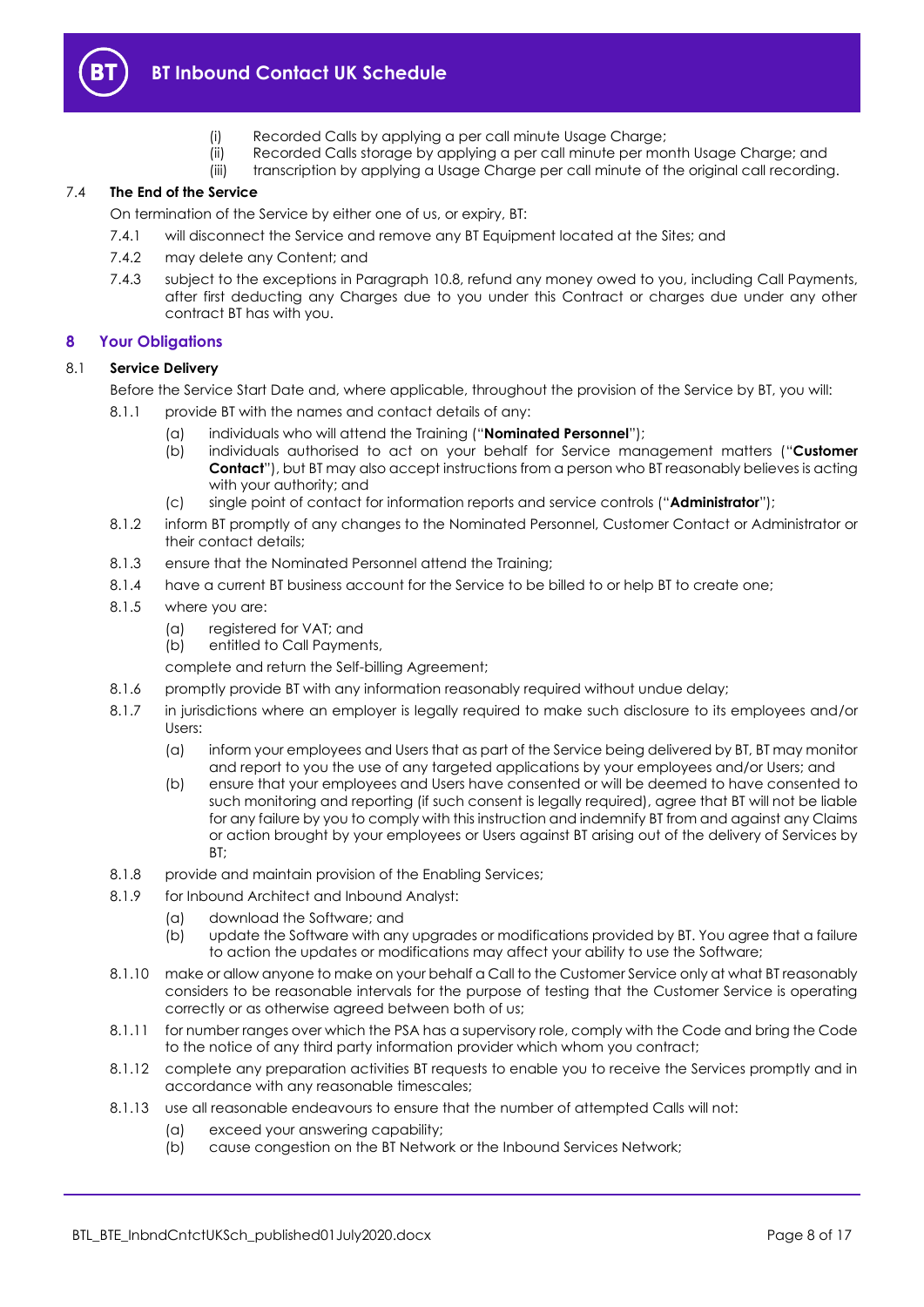

# **BT Inbound Contact UK Schedule**

- (i) Recorded Calls by applying a per call minute Usage Charge;
- (ii) Recorded Calls storage by applying a per call minute per month Usage Charge; and
- (iii) transcription by applying a Usage Charge per call minute of the original call recording.

### 7.4 **The End of the Service**

On termination of the Service by either one of us, or expiry, BT:

- 7.4.1 will disconnect the Service and remove any BT Equipment located at the Sites; and
- 7.4.2 may delete any Content; and
- 7.4.3 subject to the exceptions in Paragraph [10.8,](#page-10-1) refund any money owed to you, including Call Payments, after first deducting any Charges due to you under this Contract or charges due under any other contract BT has with you.

# <span id="page-7-0"></span>**8 Your Obligations**

### 8.1 **Service Delivery**

Before the Service Start Date and, where applicable, throughout the provision of the Service by BT, you will:

- <span id="page-7-5"></span><span id="page-7-4"></span>8.1.1 provide BT with the names and contact details of any:
	- (a) individuals who will attend the Training ("**Nominated Personnel**");
	- (b) individuals authorised to act on your behalf for Service management matters ("**Customer Contact**"), but BT may also accept instructions from a person who BT reasonably believes is acting with your authority; and
	- (c) single point of contact for information reports and service controls ("**Administrator**");
- <span id="page-7-3"></span>8.1.2 inform BT promptly of any changes to the Nominated Personnel, Customer Contact or Administrator or their contact details;
- 8.1.3 ensure that the Nominated Personnel attend the Training;
- 8.1.4 have a current BT business account for the Service to be billed to or help BT to create one;
- 8.1.5 where you are:
	- (a) registered for VAT; and
	- (b) entitled to Call Payments,

complete and return the Self-billing Agreement;

- 8.1.6 promptly provide BT with any information reasonably required without undue delay;
- 8.1.7 in jurisdictions where an employer is legally required to make such disclosure to its employees and/or Users:
	- (a) inform your employees and Users that as part of the Service being delivered by BT, BT may monitor and report to you the use of any targeted applications by your employees and/or Users; and
	- (b) ensure that your employees and Users have consented or will be deemed to have consented to such monitoring and reporting (if such consent is legally required), agree that BT will not be liable for any failure by you to comply with this instruction and indemnify BT from and against any Claims or action brought by your employees or Users against BT arising out of the delivery of Services by  $RT$
- 8.1.8 provide and maintain provision of the Enabling Services;
- 8.1.9 for Inbound Architect and Inbound Analyst:
	- (a) download the Software; and
	- (b) update the Software with any upgrades or modifications provided by BT. You agree that a failure to action the updates or modifications may affect your ability to use the Software;
- <span id="page-7-1"></span>8.1.10 make or allow anyone to make on your behalf a Call to the Customer Service only at what BT reasonably considers to be reasonable intervals for the purpose of testing that the Customer Service is operating correctly or as otherwise agreed between both of us;
- 8.1.11 for number ranges over which the PSA has a supervisory role, comply with the Code and bring the Code to the notice of any third party information provider which whom you contract;
- 8.1.12 complete any preparation activities BT requests to enable you to receive the Services promptly and in accordance with any reasonable timescales;
- <span id="page-7-2"></span>8.1.13 use all reasonable endeavours to ensure that the number of attempted Calls will not:
	- (a) exceed your answering capability;
	- (b) cause congestion on the BT Network or the Inbound Services Network;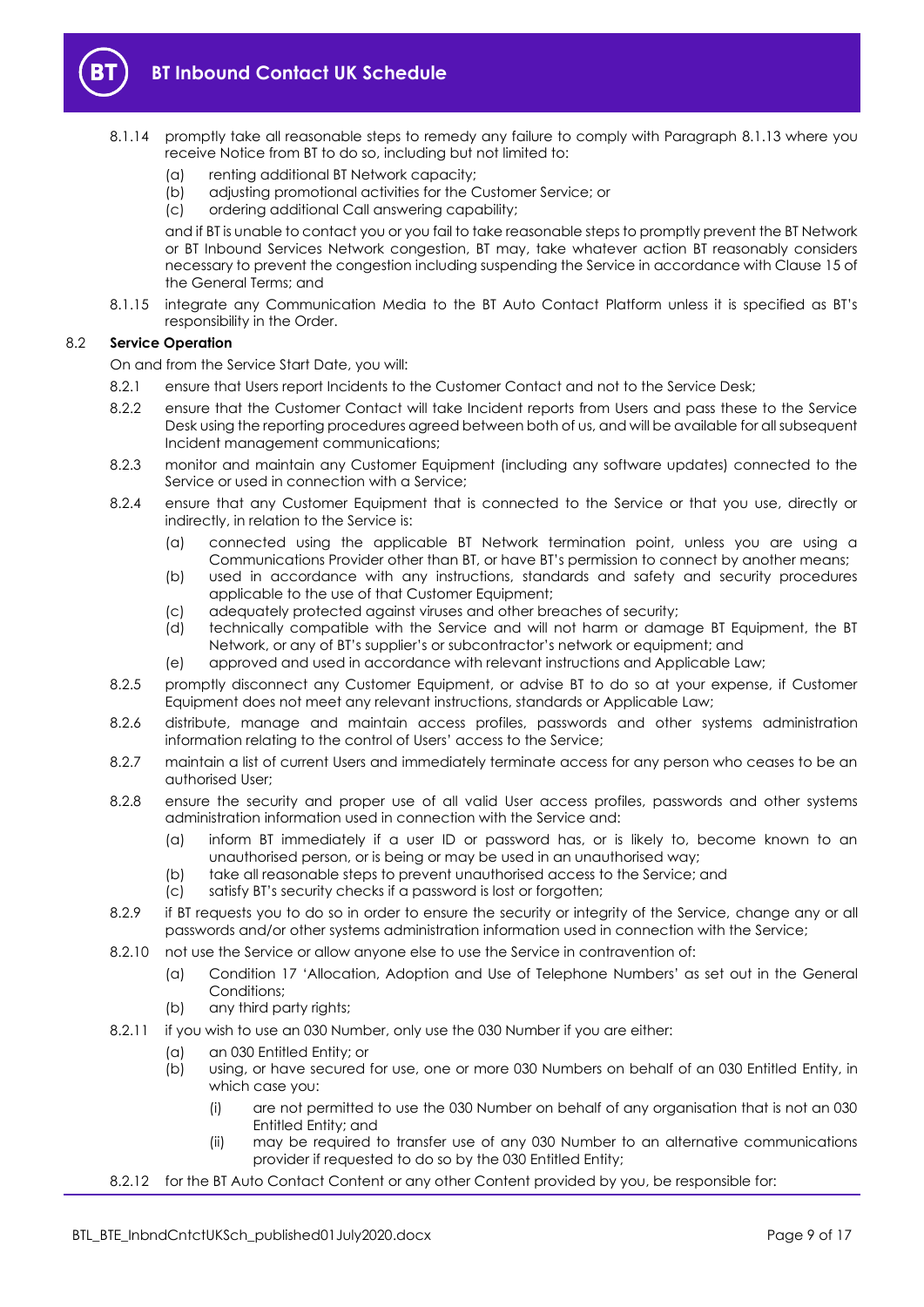

- 8.1.14 promptly take all reasonable steps to remedy any failure to comply with Paragraph [8.1.13](#page-7-2) where you receive Notice from BT to do so, including but not limited to:
	- (a) renting additional BT Network capacity;
	- (b) adjusting promotional activities for the Customer Service; or
	- (c) ordering additional Call answering capability;

and if BT is unable to contact you or you fail to take reasonable steps to promptly prevent the BT Network or BT Inbound Services Network congestion, BT may, take whatever action BT reasonably considers necessary to prevent the congestion including suspending the Service in accordance with Clause 15 of the General Terms; and

8.1.15 integrate any Communication Media to the BT Auto Contact Platform unless it is specified as BT's responsibility in the Order.

### 8.2 **Service Operation**

On and from the Service Start Date, you will:

- 8.2.1 ensure that Users report Incidents to the Customer Contact and not to the Service Desk;
- 8.2.2 ensure that the Customer Contact will take Incident reports from Users and pass these to the Service Desk using the reporting procedures agreed between both of us, and will be available for all subsequent Incident management communications;
- 8.2.3 monitor and maintain any Customer Equipment (including any software updates) connected to the Service or used in connection with a Service;
- 8.2.4 ensure that any Customer Equipment that is connected to the Service or that you use, directly or indirectly, in relation to the Service is:
	- (a) connected using the applicable BT Network termination point, unless you are using a Communications Provider other than BT, or have BT's permission to connect by another means;
	- (b) used in accordance with any instructions, standards and safety and security procedures applicable to the use of that Customer Equipment;
	- (c) adequately protected against viruses and other breaches of security;
	- (d) technically compatible with the Service and will not harm or damage BT Equipment, the BT Network, or any of BT's supplier's or subcontractor's network or equipment; and
	- (e) approved and used in accordance with relevant instructions and Applicable Law;
- 8.2.5 promptly disconnect any Customer Equipment, or advise BT to do so at your expense, if Customer Equipment does not meet any relevant instructions, standards or Applicable Law;
- 8.2.6 distribute, manage and maintain access profiles, passwords and other systems administration information relating to the control of Users' access to the Service;
- 8.2.7 maintain a list of current Users and immediately terminate access for any person who ceases to be an authorised User;
- 8.2.8 ensure the security and proper use of all valid User access profiles, passwords and other systems administration information used in connection with the Service and:
	- (a) inform BT immediately if a user ID or password has, or is likely to, become known to an unauthorised person, or is being or may be used in an unauthorised way;
	- (b) take all reasonable steps to prevent unauthorised access to the Service; and
	- (c) satisfy BT's security checks if a password is lost or forgotten;
- 8.2.9 if BT requests you to do so in order to ensure the security or integrity of the Service, change any or all passwords and/or other systems administration information used in connection with the Service;
- <span id="page-8-0"></span>8.2.10 not use the Service or allow anyone else to use the Service in contravention of:
	- (a) Condition 17 'Allocation, Adoption and Use of Telephone Numbers' as set out in the General Conditions;
	- (b) any third party rights;
- <span id="page-8-1"></span>8.2.11 if you wish to use an 030 Number, only use the 030 Number if you are either:
	- (a) an 030 Entitled Entity; or
	- (b) using, or have secured for use, one or more 030 Numbers on behalf of an 030 Entitled Entity, in which case you:
		- (i) are not permitted to use the 030 Number on behalf of any organisation that is not an 030 Entitled Entity; and
		- (ii) may be required to transfer use of any 030 Number to an alternative communications provider if requested to do so by the 030 Entitled Entity;
- 8.2.12 for the BT Auto Contact Content or any other Content provided by you, be responsible for: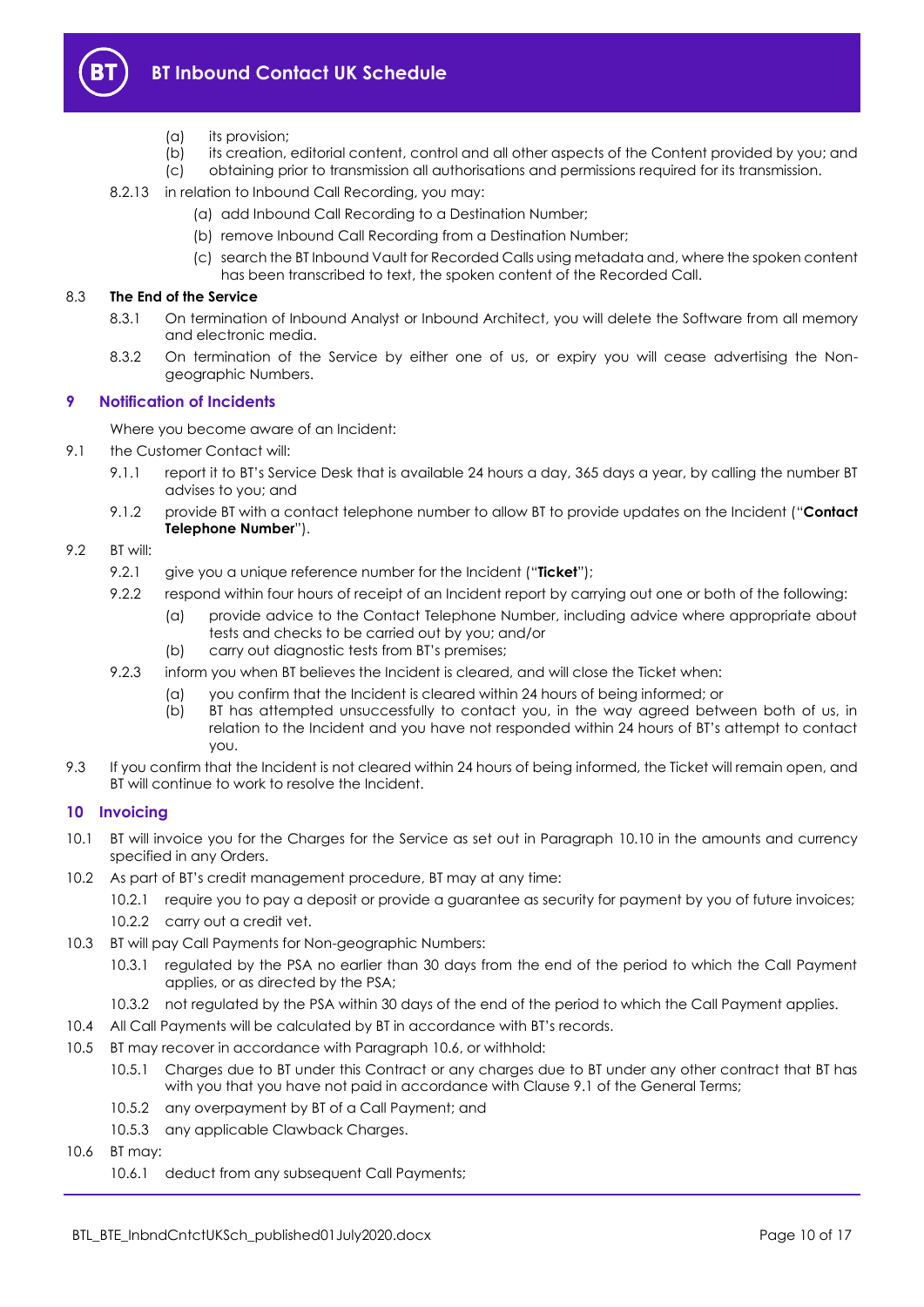

- (a) its provision;
- (b) its creation, editorial content, control and all other aspects of the Content provided by you; and (c) obtaining prior to transmission all authorisations and permissions required for its transmission.
	- (c) obtaining prior to transmission all authorisations and permissions required for its transmission.
- 8.2.13 in relation to Inbound Call Recording, you may:
	- (a) add Inbound Call Recording to a Destination Number;
	- (b) remove Inbound Call Recording from a Destination Number;
	- (c) search the BT Inbound Vault for Recorded Calls using metadata and, where the spoken content has been transcribed to text, the spoken content of the Recorded Call.

### 8.3 **The End of the Service**

- 8.3.1 On termination of Inbound Analyst or Inbound Architect, you will delete the Software from all memory and electronic media.
- 8.3.2 On termination of the Service by either one of us, or expiry you will cease advertising the Nongeographic Numbers.

### <span id="page-9-0"></span>**9 Notification of Incidents**

Where you become aware of an Incident:

- 9.1 the Customer Contact will:
	- 9.1.1 report it to BT's Service Desk that is available 24 hours a day, 365 days a year, by calling the number BT advises to you; and
	- 9.1.2 provide BT with a contact telephone number to allow BT to provide updates on the Incident ("**Contact Telephone Number**").

## <span id="page-9-6"></span><span id="page-9-5"></span>9.2 BT will:

- 9.2.1 give you a unique reference number for the Incident ("**Ticket**");
- 9.2.2 respond within four hours of receipt of an Incident report by carrying out one or both of the following:
	- (a) provide advice to the Contact Telephone Number, including advice where appropriate about tests and checks to be carried out by you; and/or
	- (b) carry out diagnostic tests from BT's premises;
- 9.2.3 inform you when BT believes the Incident is cleared, and will close the Ticket when:
	- (a) you confirm that the Incident is cleared within 24 hours of being informed; or
		- (b) BT has attempted unsuccessfully to contact you, in the way agreed between both of us, in relation to the Incident and you have not responded within 24 hours of BT's attempt to contact you.
- 9.3 If you confirm that the Incident is not cleared within 24 hours of being informed, the Ticket will remain open, and BT will continue to work to resolve the Incident.

# <span id="page-9-1"></span>**10 Invoicing**

- 10.1 BT will invoice you for the Charges for the Service as set out in Paragraph [10.10](#page-10-2) in the amounts and currency specified in any Orders.
- <span id="page-9-3"></span>10.2 As part of BT's credit management procedure, BT may at any time:
	- 10.2.1 require you to pay a deposit or provide a guarantee as security for payment by you of future invoices;
	- 10.2.2 carry out a credit vet.
- 10.3 BT will pay Call Payments for Non-geographic Numbers:
	- 10.3.1 regulated by the PSA no earlier than 30 days from the end of the period to which the Call Payment applies, or as directed by the PSA;
	- 10.3.2 not regulated by the PSA within 30 days of the end of the period to which the Call Payment applies.
- 10.4 All Call Payments will be calculated by BT in accordance with BT's records.
- <span id="page-9-4"></span>10.5 BT may recover in accordance with Paragraph [10.6,](#page-9-2) or withhold:
	- 10.5.1 Charges due to BT under this Contract or any charges due to BT under any other contract that BT has with you that you have not paid in accordance with Clause 9.1 of the General Terms;
	- 10.5.2 any overpayment by BT of a Call Payment; and
	- 10.5.3 any applicable Clawback Charges.
- <span id="page-9-2"></span>10.6 BT may:
	- 10.6.1 deduct from any subsequent Call Payments;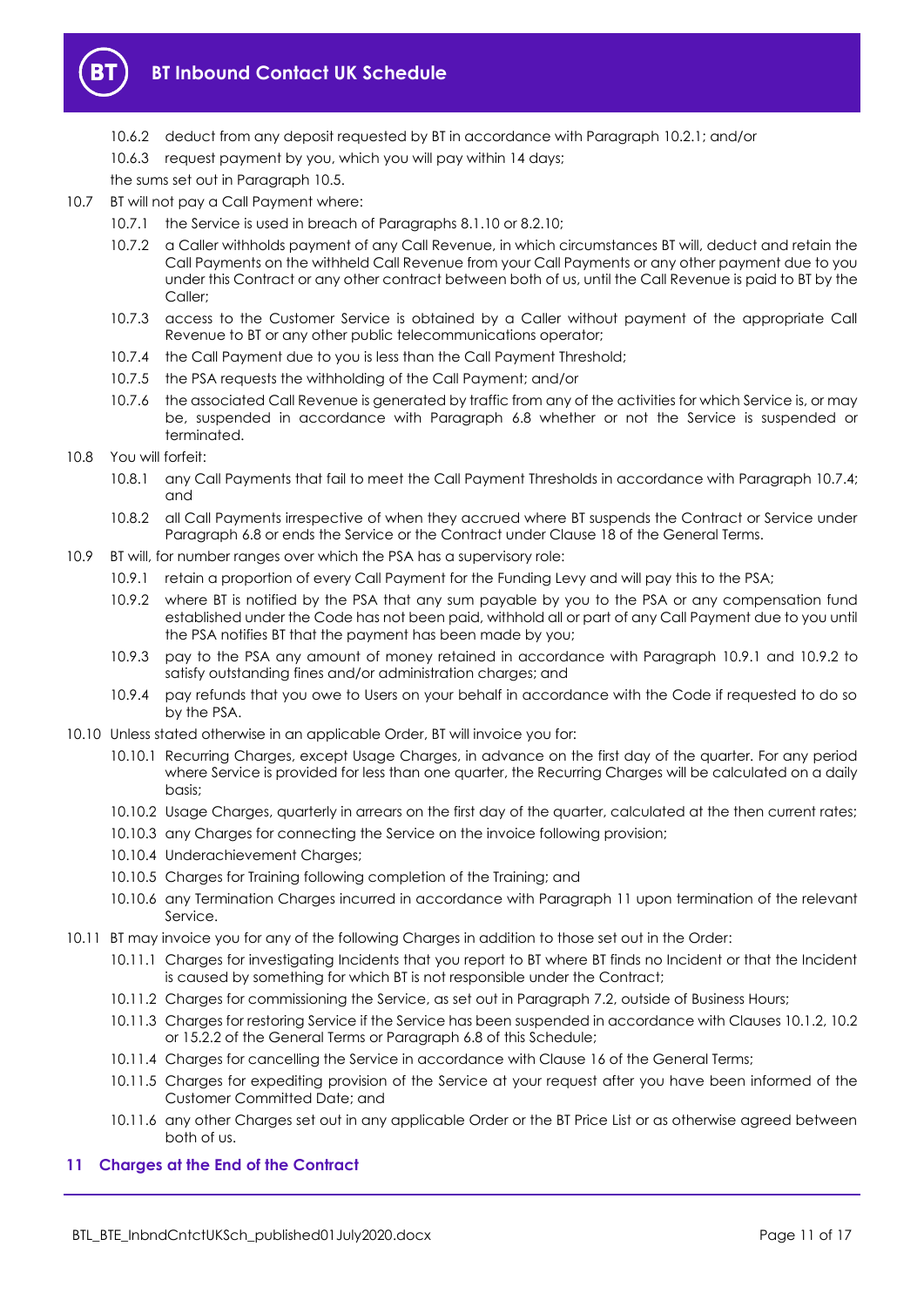

- 10.6.2 deduct from any deposit requested by BT in accordance with Paragraph [10.2.1;](#page-9-3) and/or
- 10.6.3 request payment by you, which you will pay within 14 days;

the sums set out in Paragraph [10.5.](#page-9-4)

- 10.7 BT will not pay a Call Payment where:
	- 10.7.1 the Service is used in breach of Paragraphs [8.1.10](#page-7-1) o[r 8.2.10;](#page-8-0)
	- 10.7.2 a Caller withholds payment of any Call Revenue, in which circumstances BT will, deduct and retain the Call Payments on the withheld Call Revenue from your Call Payments or any other payment due to you under this Contract or any other contract between both of us, until the Call Revenue is paid to BT by the Caller;
	- 10.7.3 access to the Customer Service is obtained by a Caller without payment of the appropriate Call Revenue to BT or any other public telecommunications operator;
	- 10.7.4 the Call Payment due to you is less than the Call Payment Threshold;
	- 10.7.5 the PSA requests the withholding of the Call Payment; and/or
	- 10.7.6 the associated Call Revenue is generated by traffic from any of the activities for which Service is, or may be, suspended in accordance with Paragraph [6.8](#page-4-6) whether or not the Service is suspended or terminated.
- <span id="page-10-3"></span><span id="page-10-1"></span>10.8 You will forfeit:
	- 10.8.1 any Call Payments that fail to meet the Call Payment Thresholds in accordance with Paragrap[h 10.7.4;](#page-10-3)  and
	- 10.8.2 all Call Payments irrespective of when they accrued where BT suspends the Contract or Service under Paragrap[h 6.8](#page-4-6) or ends the Service or the Contract under Clause 18 of the General Terms.
- <span id="page-10-5"></span><span id="page-10-4"></span>10.9 BT will, for number ranges over which the PSA has a supervisory role:
	- 10.9.1 retain a proportion of every Call Payment for the Funding Levy and will pay this to the PSA;
	- 10.9.2 where BT is notified by the PSA that any sum payable by you to the PSA or any compensation fund established under the Code has not been paid, withhold all or part of any Call Payment due to you until the PSA notifies BT that the payment has been made by you;
	- 10.9.3 pay to the PSA any amount of money retained in accordance with Paragraph [10.9.1](#page-10-4) and [10.9.2](#page-10-5) to satisfy outstanding fines and/or administration charges; and
	- 10.9.4 pay refunds that you owe to Users on your behalf in accordance with the Code if requested to do so by the PSA.
- <span id="page-10-2"></span>10.10 Unless stated otherwise in an applicable Order, BT will invoice you for:
	- 10.10.1 Recurring Charges, except Usage Charges, in advance on the first day of the quarter. For any period where Service is provided for less than one quarter, the Recurring Charges will be calculated on a daily basis;
	- 10.10.2 Usage Charges, quarterly in arrears on the first day of the quarter, calculated at the then current rates;
	- 10.10.3 any Charges for connecting the Service on the invoice following provision;
	- 10.10.4 Underachievement Charges;
	- 10.10.5 Charges for Training following completion of the Training; and
	- 10.10.6 any Termination Charges incurred in accordance with Paragraph [11](#page-10-0) upon termination of the relevant Service.
- 10.11 BT may invoice you for any of the following Charges in addition to those set out in the Order:
	- 10.11.1 Charges for investigating Incidents that you report to BT where BT finds no Incident or that the Incident is caused by something for which BT is not responsible under the Contract;
	- 10.11.2 Charges for commissioning the Service, as set out in Paragrap[h 7.2,](#page-6-2) outside of Business Hours;
	- 10.11.3 Charges for restoring Service if the Service has been suspended in accordance with Clauses 10.1.2, 10.2 or 15.2.2 of the General Terms or Paragrap[h 6.8](#page-4-6) of this Schedule;
	- 10.11.4 Charges for cancelling the Service in accordance with Clause 16 of the General Terms;
	- 10.11.5 Charges for expediting provision of the Service at your request after you have been informed of the Customer Committed Date; and
	- 10.11.6 any other Charges set out in any applicable Order or the BT Price List or as otherwise agreed between both of us.

# <span id="page-10-0"></span>**11 Charges at the End of the Contract**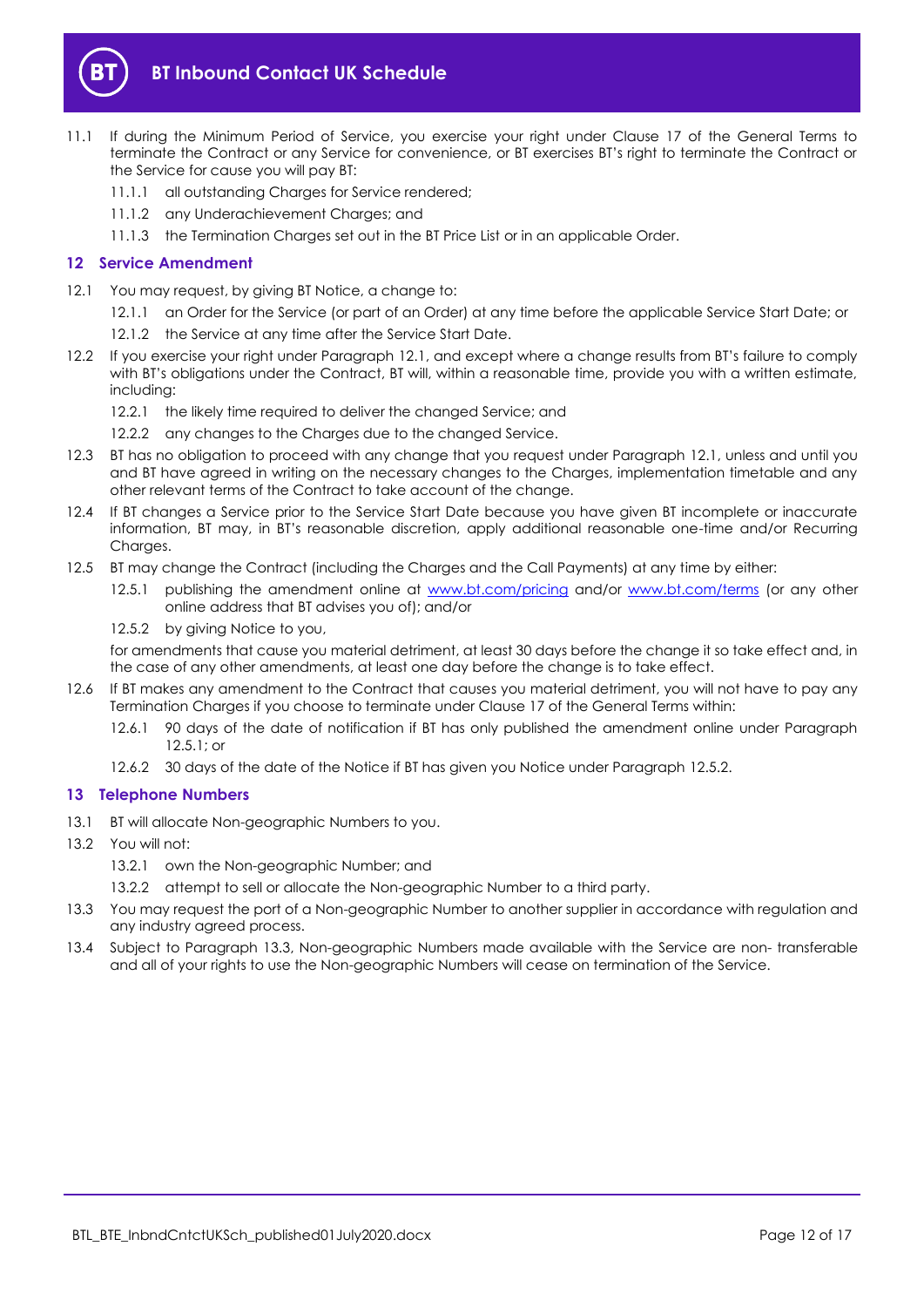

- 11.1 If during the Minimum Period of Service, you exercise your right under Clause 17 of the General Terms to terminate the Contract or any Service for convenience, or BT exercises BT's right to terminate the Contract or the Service for cause you will pay BT:
	- 11.1.1 all outstanding Charges for Service rendered;
	- 11.1.2 any Underachievement Charges; and
	- 11.1.3 the Termination Charges set out in the BT Price List or in an applicable Order.

### <span id="page-11-0"></span>**12 Service Amendment**

- <span id="page-11-2"></span>12.1 You may request, by giving BT Notice, a change to:
	- 12.1.1 an Order for the Service (or part of an Order) at any time before the applicable Service Start Date; or
	- 12.1.2 the Service at any time after the Service Start Date.
- 12.2 If you exercise your right under Paragraph [12.1](#page-11-2), and except where a change results from BT's failure to comply with BT's obligations under the Contract, BT will, within a reasonable time, provide you with a written estimate, including:
	- 12.2.1 the likely time required to deliver the changed Service; and
	- 12.2.2 any changes to the Charges due to the changed Service.
- 12.3 BT has no obligation to proceed with any change that you request under Paragraph [12.1,](#page-11-2) unless and until you and BT have agreed in writing on the necessary changes to the Charges, implementation timetable and any other relevant terms of the Contract to take account of the change.
- 12.4 If BT changes a Service prior to the Service Start Date because you have given BT incomplete or inaccurate information, BT may, in BT's reasonable discretion, apply additional reasonable one-time and/or Recurring Charges.
- <span id="page-11-3"></span>12.5 BT may change the Contract (including the Charges and the Call Payments) at any time by either:
	- 12.5.1 publishing the amendment online at [www.bt.com/pricing](http://www.bt.com/pricing) and/or [www.bt.com/terms](http://www.bt.com/terms) (or any other online address that BT advises you of); and/or
	- 12.5.2 by giving Notice to you,

<span id="page-11-4"></span>for amendments that cause you material detriment, at least 30 days before the change it so take effect and, in the case of any other amendments, at least one day before the change is to take effect.

- 12.6 If BT makes any amendment to the Contract that causes you material detriment, you will not have to pay any Termination Charges if you choose to terminate under Clause 17 of the General Terms within:
	- 12.6.1 90 days of the date of notification if BT has only published the amendment online under Paragraph [12.5.1;](#page-11-3) or
	- 12.6.2 30 days of the date of the Notice if BT has given you Notice under Paragraph [12.5.2.](#page-11-4)

# <span id="page-11-1"></span>**13 Telephone Numbers**

- 13.1 BT will allocate Non-geographic Numbers to you.
- 13.2 You will not:
	- 13.2.1 own the Non-geographic Number; and
	- 13.2.2 attempt to sell or allocate the Non-geographic Number to a third party.
- <span id="page-11-5"></span>13.3 You may request the port of a Non-geographic Number to another supplier in accordance with regulation and any industry agreed process.
- 13.4 Subject to Paragraph [13.3,](#page-11-5) Non-geographic Numbers made available with the Service are non- transferable and all of your rights to use the Non-geographic Numbers will cease on termination of the Service.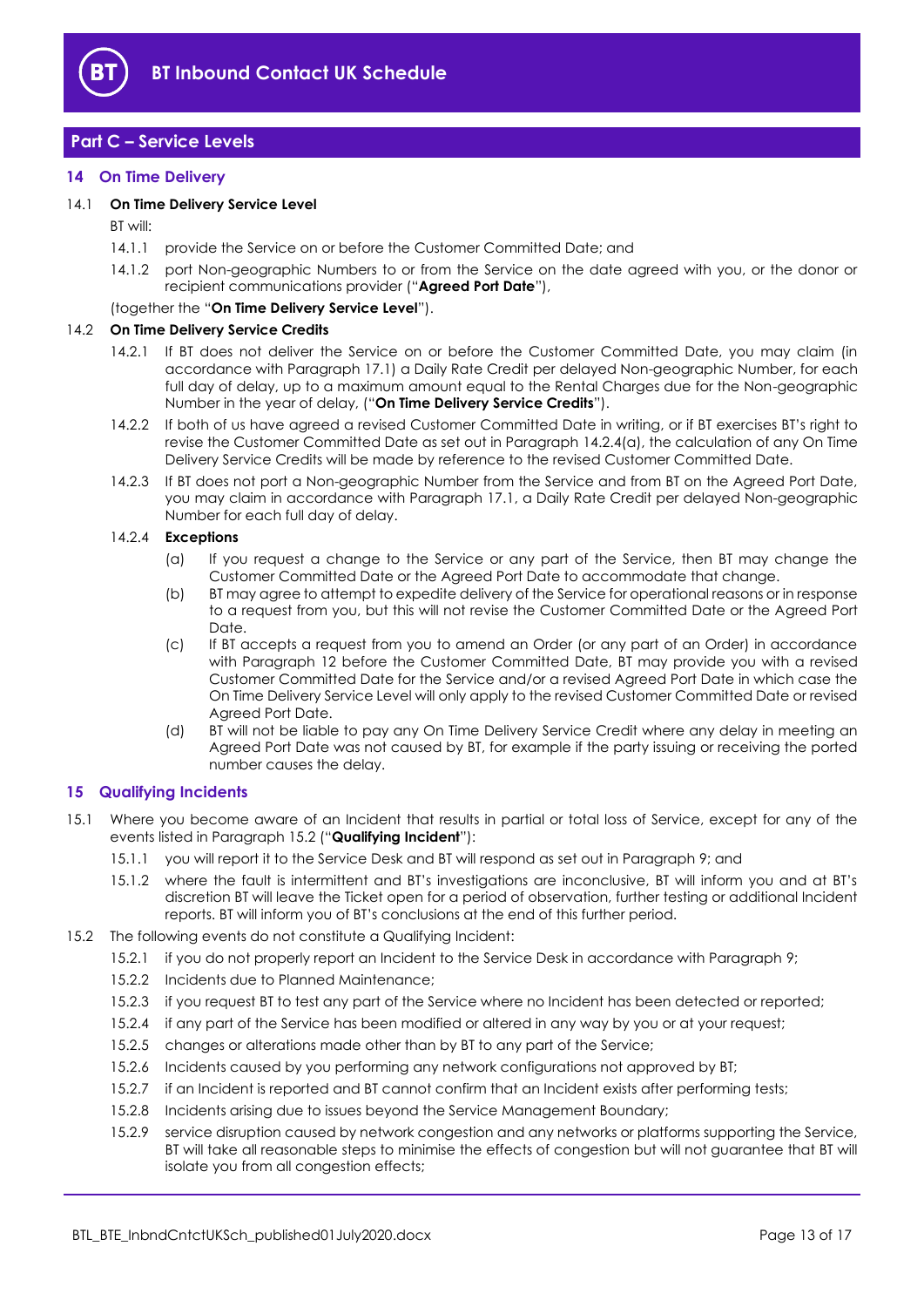

# <span id="page-12-0"></span>**Part C – Service Levels**

#### <span id="page-12-1"></span>**14 On Time Delivery**

#### <span id="page-12-8"></span>14.1 **On Time Delivery Service Level**

BT will:

- 14.1.1 provide the Service on or before the Customer Committed Date; and
- <span id="page-12-5"></span>14.1.2 port Non-geographic Numbers to or from the Service on the date agreed with you, or the donor or recipient communications provider ("**Agreed Port Date**"),

#### (together the "**On Time Delivery Service Level**").

#### <span id="page-12-7"></span><span id="page-12-6"></span>14.2 **On Time Delivery Service Credits**

- 14.2.1 If BT does not deliver the Service on or before the Customer Committed Date, you may claim (in accordance with Paragrap[h 17.1\)](#page-13-2) a Daily Rate Credit per delayed Non-geographic Number, for each full day of delay, up to a maximum amount equal to the Rental Charges due for the Non-geographic Number in the year of delay, ("**On Time Delivery Service Credits**").
- 14.2.2 If both of us have agreed a revised Customer Committed Date in writing, or if BT exercises BT's right to revise the Customer Committed Date as set out in Paragraph [14.2.4\(a\),](#page-12-3) the calculation of any On Time Delivery Service Credits will be made by reference to the revised Customer Committed Date.
- 14.2.3 If BT does not port a Non-geographic Number from the Service and from BT on the Agreed Port Date, you may claim in accordance with Paragraph [17.1,](#page-13-2) a Daily Rate Credit per delayed Non-geographic Number for each full day of delay.

## <span id="page-12-3"></span>14.2.4 **Exceptions**

- (a) If you request a change to the Service or any part of the Service, then BT may change the Customer Committed Date or the Agreed Port Date to accommodate that change.
- (b) BT may agree to attempt to expedite delivery of the Service for operational reasons or in response to a request from you, but this will not revise the Customer Committed Date or the Agreed Port Date.
- (c) If BT accepts a request from you to amend an Order (or any part of an Order) in accordance with Paragraph [12](#page-11-0) before the Customer Committed Date, BT may provide you with a revised Customer Committed Date for the Service and/or a revised Agreed Port Date in which case the On Time Delivery Service Level will only apply to the revised Customer Committed Date or revised Agreed Port Date.
- (d) BT will not be liable to pay any On Time Delivery Service Credit where any delay in meeting an Agreed Port Date was not caused by BT, for example if the party issuing or receiving the ported number causes the delay.

#### <span id="page-12-2"></span>**15 Qualifying Incidents**

- <span id="page-12-9"></span>15.1 Where you become aware of an Incident that results in partial or total loss of Service, except for any of the events listed in Paragraph [15.2](#page-12-4) ("**Qualifying Incident**"):
	- 15.1.1 you will report it to the Service Desk and BT will respond as set out in Paragrap[h 9;](#page-9-0) and
	- 15.1.2 where the fault is intermittent and BT's investigations are inconclusive, BT will inform you and at BT's discretion BT will leave the Ticket open for a period of observation, further testing or additional Incident reports. BT will inform you of BT's conclusions at the end of this further period.
- <span id="page-12-4"></span>15.2 The following events do not constitute a Qualifying Incident:
	- 15.2.1 if you do not properly report an Incident to the Service Desk in accordance with Paragraph [9;](#page-9-0)
	- 15.2.2 Incidents due to Planned Maintenance;
	- 15.2.3 if you request BT to test any part of the Service where no Incident has been detected or reported;
	- 15.2.4 if any part of the Service has been modified or altered in any way by you or at your request;
	- 15.2.5 changes or alterations made other than by BT to any part of the Service;
	- 15.2.6 Incidents caused by you performing any network configurations not approved by BT;
	- 15.2.7 if an Incident is reported and BT cannot confirm that an Incident exists after performing tests;
	- 15.2.8 Incidents arising due to issues beyond the Service Management Boundary;
	- 15.2.9 service disruption caused by network congestion and any networks or platforms supporting the Service, BT will take all reasonable steps to minimise the effects of congestion but will not guarantee that BT will isolate you from all congestion effects;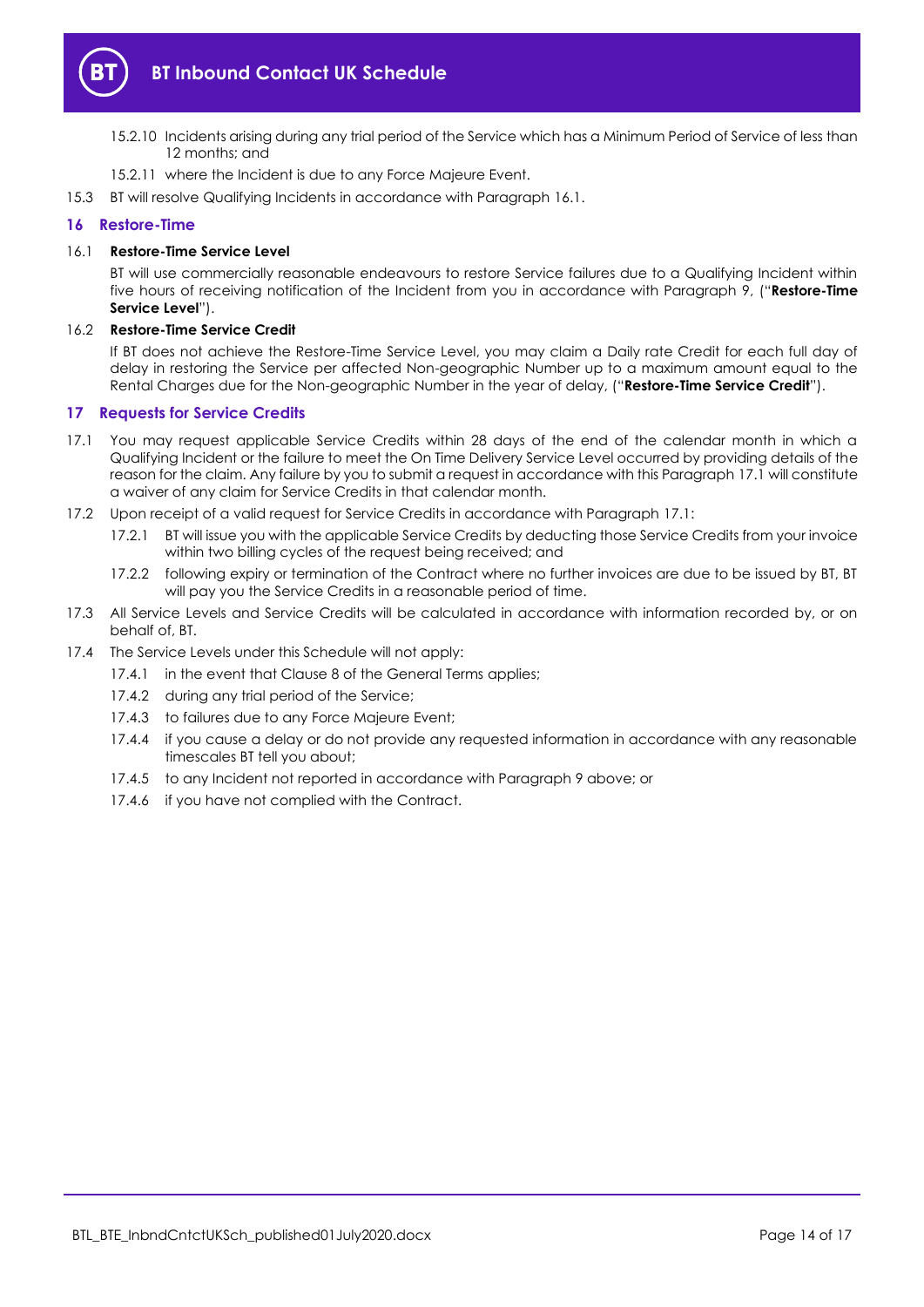

- 15.2.10 Incidents arising during any trial period of the Service which has a Minimum Period of Service of less than 12 months; and
- 15.2.11 where the Incident is due to any Force Majeure Event.
- 15.3 BT will resolve Qualifying Incidents in accordance with Paragraph [16.1.](#page-13-3)

## <span id="page-13-0"></span>**16 Restore-Time**

#### <span id="page-13-3"></span>16.1 **Restore-Time Service Level**

BT will use commercially reasonable endeavours to restore Service failures due to a Qualifying Incident within five hours of receiving notification of the Incident from you in accordance with Paragraph [9,](#page-9-0) ("**Restore-Time Service Level**").

### <span id="page-13-4"></span>16.2 **Restore-Time Service Credit**

If BT does not achieve the Restore-Time Service Level, you may claim a Daily rate Credit for each full day of delay in restoring the Service per affected Non-geographic Number up to a maximum amount equal to the Rental Charges due for the Non-geographic Number in the year of delay, ("**Restore-Time Service Credit**").

# <span id="page-13-1"></span>**17 Requests for Service Credits**

- <span id="page-13-2"></span>17.1 You may request applicable Service Credits within 28 days of the end of the calendar month in which a Qualifying Incident or the failure to meet the On Time Delivery Service Level occurred by providing details of the reason for the claim. Any failure by you to submit a request in accordance with this Paragrap[h 17.1](#page-13-2) will constitute a waiver of any claim for Service Credits in that calendar month.
- 17.2 Upon receipt of a valid request for Service Credits in accordance with Paragraph [17.1:](#page-13-2)
	- 17.2.1 BT will issue you with the applicable Service Credits by deducting those Service Credits from your invoice within two billing cycles of the request being received; and
	- 17.2.2 following expiry or termination of the Contract where no further invoices are due to be issued by BT, BT will pay you the Service Credits in a reasonable period of time.
- 17.3 All Service Levels and Service Credits will be calculated in accordance with information recorded by, or on behalf of, BT.
- 17.4 The Service Levels under this Schedule will not apply:
	- 17.4.1 in the event that Clause 8 of the General Terms applies:
		- 17.4.2 during any trial period of the Service;
		- 17.4.3 to failures due to any Force Majeure Event;
		- 17.4.4 if you cause a delay or do not provide any requested information in accordance with any reasonable timescales BT tell you about;
		- 17.4.5 to any Incident not reported in accordance with Paragrap[h 9](#page-9-0) above; or
		- 17.4.6 if you have not complied with the Contract.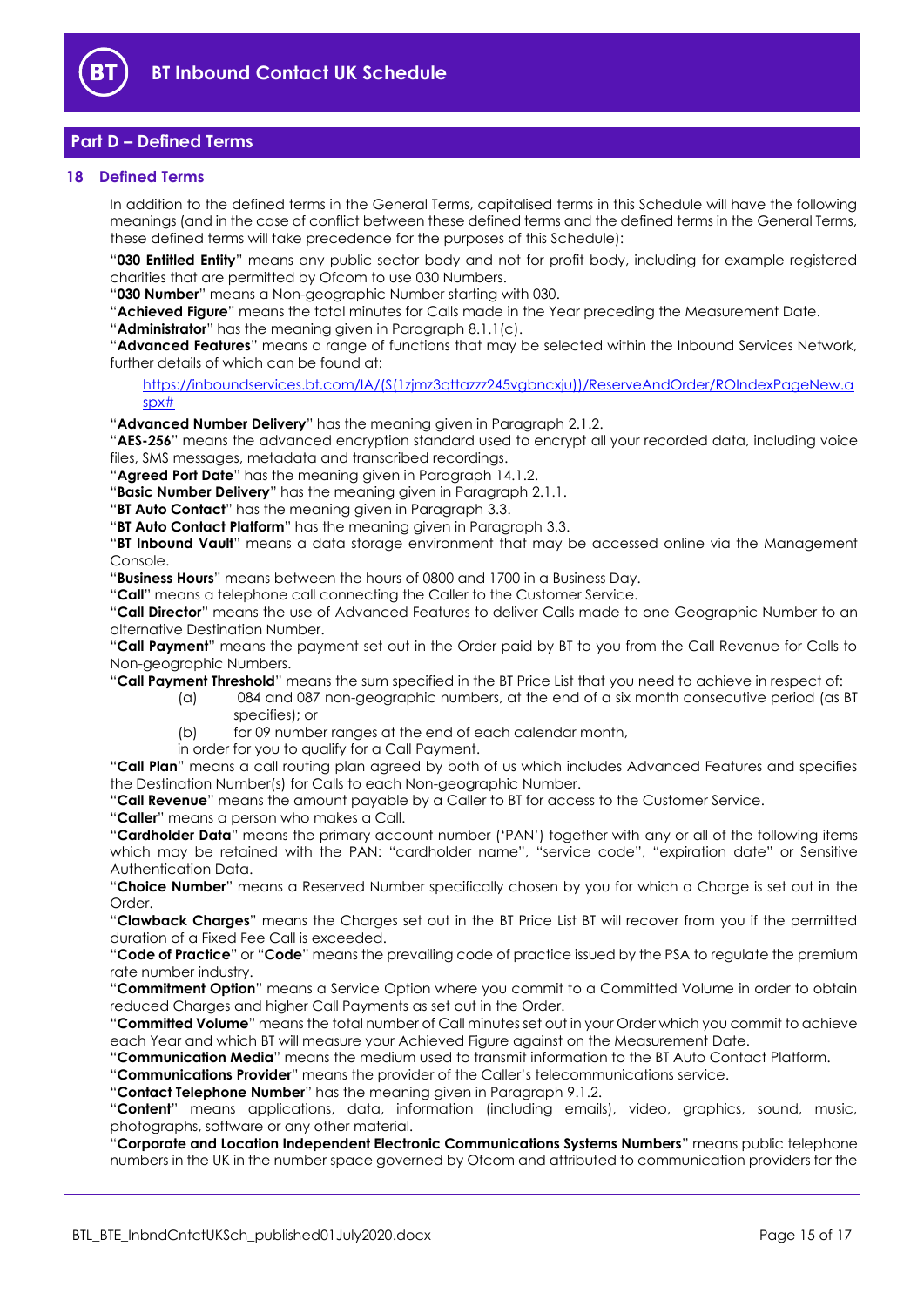

# <span id="page-14-0"></span>**Part D – Defined Terms**

#### <span id="page-14-1"></span>**18 Defined Terms**

In addition to the defined terms in the General Terms, capitalised terms in this Schedule will have the following meanings (and in the case of conflict between these defined terms and the defined terms in the General Terms, these defined terms will take precedence for the purposes of this Schedule):

"**030 Entitled Entity**" means any public sector body and not for profit body, including for example registered charities that are permitted by Ofcom to use 030 Numbers.

"**030 Number**" means a Non-geographic Number starting with 030.

"**Achieved Figure**" means the total minutes for Calls made in the Year preceding the Measurement Date.

"**Administrator**" has the meaning given in Paragraph [8.1.1\(c\).](#page-7-3)

"**Advanced Features**" means a range of functions that may be selected within the Inbound Services Network, further details of which can be found at:

[https://inboundservices.bt.com/IA/\(S\(1zjmz3qttazzz245vgbncxju\)\)/ReserveAndOrder/ROIndexPageNew.a](https://inboundservices.bt.com/IA/(S(1zjmz3qttazzz245vgbncxju))/ReserveAndOrder/ROIndexPageNew.aspx) [spx#](https://inboundservices.bt.com/IA/(S(1zjmz3qttazzz245vgbncxju))/ReserveAndOrder/ROIndexPageNew.aspx)

"**Advanced Number Delivery**" has the meaning given in Paragraph [2.1.2.](#page-1-6)

"AES-256" means the advanced encryption standard used to encrypt all your recorded data, including voice files, SMS messages, metadata and transcribed recordings.

"**Agreed Port Date**" has the meaning given in Paragraph [14.1.2.](#page-12-5)

"**Basic Number Delivery**" has the meaning given in Paragraph [2.1.1.](#page-1-7)

"**BT Auto Contact**" has the meaning given in Paragraph [3.3.](#page-1-8)

"**BT Auto Contact Platform**" has the meaning given in Paragraph [3.3.](#page-1-8)

"**BT Inbound Vault**" means a data storage environment that may be accessed online via the Management Console.

"**Business Hours**" means between the hours of 0800 and 1700 in a Business Day.

"**Call**" means a telephone call connecting the Caller to the Customer Service.

"**Call Director**" means the use of Advanced Features to deliver Calls made to one Geographic Number to an alternative Destination Number.

"**Call Payment**" means the payment set out in the Order paid by BT to you from the Call Revenue for Calls to Non-geographic Numbers.

"**Call Payment Threshold**" means the sum specified in the BT Price List that you need to achieve in respect of:

- (a) 084 and 087 non-geographic numbers, at the end of a six month consecutive period (as BT specifies); or
	- (b) for 09 number ranges at the end of each calendar month,
- in order for you to qualify for a Call Payment.

"**Call Plan**" means a call routing plan agreed by both of us which includes Advanced Features and specifies the Destination Number(s) for Calls to each Non-geographic Number.

"**Call Revenue**" means the amount payable by a Caller to BT for access to the Customer Service.

"**Caller**" means a person who makes a Call.

"**Cardholder Data**" means the primary account number ('PAN') together with any or all of the following items which may be retained with the PAN: "cardholder name", "service code", "expiration date" or Sensitive Authentication Data.

"**Choice Number**" means a Reserved Number specifically chosen by you for which a Charge is set out in the Order.

"**Clawback Charges**" means the Charges set out in the BT Price List BT will recover from you if the permitted duration of a Fixed Fee Call is exceeded.

"**Code of Practice**" or "**Code**" means the prevailing code of practice issued by the PSA to regulate the premium rate number industry.

"**Commitment Option**" means a Service Option where you commit to a Committed Volume in order to obtain reduced Charges and higher Call Payments as set out in the Order.

"**Committed Volume**" means the total number of Call minutes set out in your Order which you commit to achieve each Year and which BT will measure your Achieved Figure against on the Measurement Date.

"**Communication Media**" means the medium used to transmit information to the BT Auto Contact Platform.

"**Communications Provider**" means the provider of the Caller's telecommunications service.

"**Contact Telephone Number**" has the meaning given in Paragraph [9.1.2.](#page-9-5)

"**Content**" means applications, data, information (including emails), video, graphics, sound, music, photographs, software or any other material.

"**Corporate and Location Independent Electronic Communications Systems Numbers**" means public telephone numbers in the UK in the number space governed by Ofcom and attributed to communication providers for the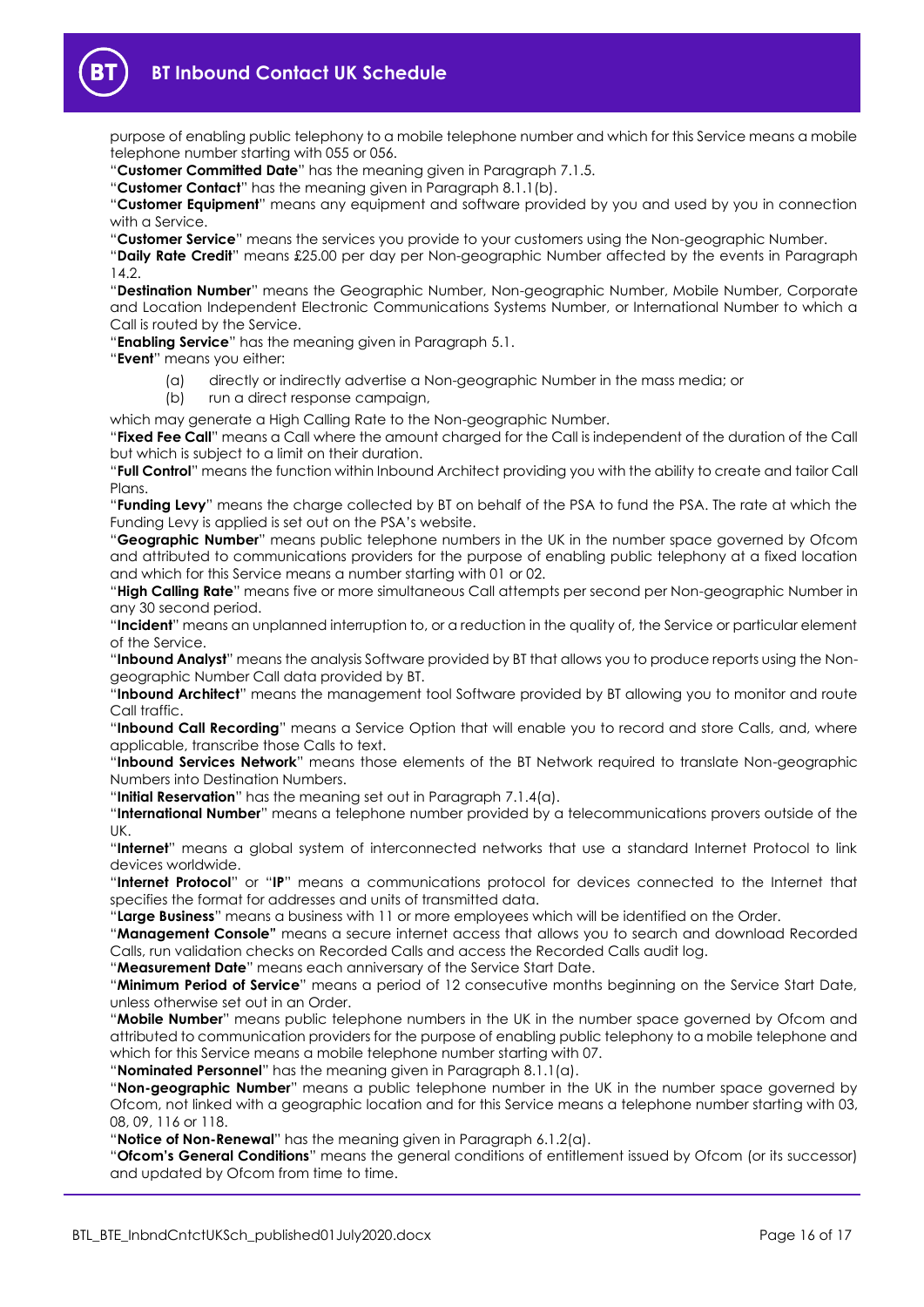

purpose of enabling public telephony to a mobile telephone number and which for this Service means a mobile telephone number starting with 055 or 056.

"**Customer Committed Date**" has the meaning given in Paragraph [7.1.5.](#page-6-4)

"**Customer Contact**" has the meaning given in Paragraph [8.1.1\(b\).](#page-7-4)

"**Customer Equipment**" means any equipment and software provided by you and used by you in connection with a Service.

"**Customer Service**" means the services you provide to your customers using the Non-geographic Number.

"**Daily Rate Credit**" means £25.00 per day per Non-geographic Number affected by the events in Paragraph [14.2.](#page-12-6)

"**Destination Number**" means the Geographic Number, Non-geographic Number, Mobile Number, Corporate and Location Independent Electronic Communications Systems Number, or International Number to which a Call is routed by the Service.

"**Enabling Service**" has the meaning given in Paragrap[h 5.1.](#page-2-3)

"**Event**" means you either:

- (a) directly or indirectly advertise a Non-geographic Number in the mass media; or
- (b) run a direct response campaign,

which may generate a High Calling Rate to the Non-geographic Number.

"**Fixed Fee Call**" means a Call where the amount charged for the Call is independent of the duration of the Call but which is subject to a limit on their duration.

"**Full Control**" means the function within Inbound Architect providing you with the ability to create and tailor Call Plans

"**Funding Levy**" means the charge collected by BT on behalf of the PSA to fund the PSA. The rate at which the Funding Levy is applied is set out on the PSA's website.

"**Geographic Number**" means public telephone numbers in the UK in the number space governed by Ofcom and attributed to communications providers for the purpose of enabling public telephony at a fixed location and which for this Service means a number starting with 01 or 02.

"**High Calling Rate**" means five or more simultaneous Call attempts per second per Non-geographic Number in any 30 second period.

"**Incident**" means an unplanned interruption to, or a reduction in the quality of, the Service or particular element of the Service.

"**Inbound Analyst**" means the analysis Software provided by BT that allows you to produce reports using the Nongeographic Number Call data provided by BT.

"**Inbound Architect**" means the management tool Software provided by BT allowing you to monitor and route Call traffic.

"**Inbound Call Recording**" means a Service Option that will enable you to record and store Calls, and, where applicable, transcribe those Calls to text.

"**Inbound Services Network**" means those elements of the BT Network required to translate Non-geographic Numbers into Destination Numbers.

"**Initial Reservation**" has the meaning set out in Paragrap[h 7.1.4\(a\).](#page-6-5)

"**International Number**" means a telephone number provided by a telecommunications provers outside of the UK.

"**Internet**" means a global system of interconnected networks that use a standard Internet Protocol to link devices worldwide.

"**Internet Protocol**" or "**IP**" means a communications protocol for devices connected to the Internet that specifies the format for addresses and units of transmitted data.

"**Large Business**" means a business with 11 or more employees which will be identified on the Order.

"**Management Console"** means a secure internet access that allows you to search and download Recorded Calls, run validation checks on Recorded Calls and access the Recorded Calls audit log.

"**Measurement Date**" means each anniversary of the Service Start Date.

"**Minimum Period of Service**" means a period of 12 consecutive months beginning on the Service Start Date, unless otherwise set out in an Order.

"**Mobile Number**" means public telephone numbers in the UK in the number space governed by Ofcom and attributed to communication providers for the purpose of enabling public telephony to a mobile telephone and which for this Service means a mobile telephone number starting with 07.

"**Nominated Personnel**" has the meaning given in Paragraph [8.1.1\(a\).](#page-7-5)

"**Non-geographic Number**" means a public telephone number in the UK in the number space governed by Ofcom, not linked with a geographic location and for this Service means a telephone number starting with 03, 08, 09, 116 or 118.

"**Notice of Non-Renewal**" has the meaning given in Paragraph [6.1.2\(a\).](#page-2-4)

"**Ofcom's General Conditions**" means the general conditions of entitlement issued by Ofcom (or its successor) and updated by Ofcom from time to time.